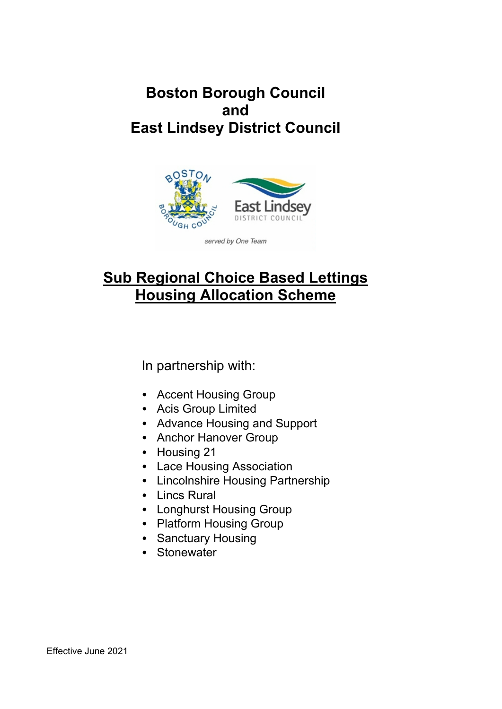## **Boston Borough Council and East Lindsey District Council**



# **Sub Regional Choice Based Lettings Housing Allocation Scheme**

In partnership with:

- Accent Housing Group
- Acis Group Limited
- Advance Housing and Support
- Anchor Hanover Group
- Housing 21
- Lace Housing Association
- Lincolnshire Housing Partnership
- Lincs Rural
- Longhurst Housing Group
- Platform Housing Group
- Sanctuary Housing
- Stonewater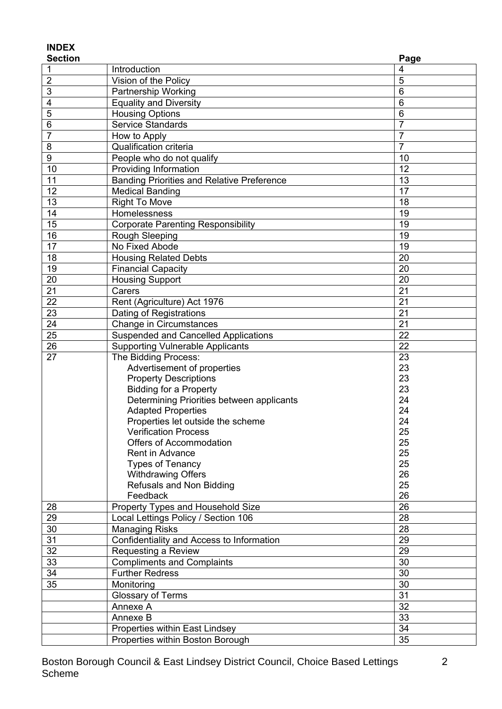## **INDEX**

| <b>Section</b>  |                                                   | Page           |
|-----------------|---------------------------------------------------|----------------|
| 1               | Introduction                                      | 4              |
| $\overline{2}$  | Vision of the Policy                              | 5              |
| $\sqrt{3}$      | Partnership Working                               | 6              |
| 4               | <b>Equality and Diversity</b>                     | 6              |
| 5               | <b>Housing Options</b>                            | 6              |
| 6               | <b>Service Standards</b>                          | $\overline{7}$ |
| $\overline{7}$  | How to Apply                                      | $\overline{7}$ |
| $\bf 8$         | Qualification criteria                            | $\overline{7}$ |
| $\overline{9}$  | People who do not qualify                         | 10             |
| 10              | Providing Information                             | 12             |
| 11              | <b>Banding Priorities and Relative Preference</b> | 13             |
| 12              | <b>Medical Banding</b>                            | 17             |
| 13              | <b>Right To Move</b>                              | 18             |
| 14              | Homelessness                                      | 19             |
| 15              | <b>Corporate Parenting Responsibility</b>         | 19             |
| 16              | <b>Rough Sleeping</b>                             | 19             |
| 17              | No Fixed Abode                                    | 19             |
| 18              | <b>Housing Related Debts</b>                      | 20             |
| 19              | <b>Financial Capacity</b>                         | 20             |
| 20              | <b>Housing Support</b>                            | 20             |
| 21              | Carers                                            | 21             |
| 22              | Rent (Agriculture) Act 1976                       | 21             |
| 23              | Dating of Registrations                           | 21             |
| $\overline{24}$ | Change in Circumstances                           | 21             |
| 25              | <b>Suspended and Cancelled Applications</b>       | 22             |
| 26              | <b>Supporting Vulnerable Applicants</b>           | 22             |
| 27              | The Bidding Process:                              | 23             |
|                 | Advertisement of properties                       | 23             |
|                 | <b>Property Descriptions</b>                      | 23             |
|                 | <b>Bidding for a Property</b>                     | 23             |
|                 | Determining Priorities between applicants         | 24             |
|                 | <b>Adapted Properties</b>                         | 24             |
|                 | Properties let outside the scheme                 | 24             |
|                 | <b>Verification Process</b>                       | 25             |
|                 | Offers of Accommodation                           | 25             |
|                 | Rent in Advance                                   | 25             |
|                 | <b>Types of Tenancy</b>                           | 25             |
|                 | <b>Withdrawing Offers</b>                         | 26             |
|                 | Refusals and Non Bidding                          | 25             |
|                 | Feedback                                          | 26             |
| 28              | Property Types and Household Size                 | 26             |
| 29              | Local Lettings Policy / Section 106               | 28             |
| 30              | <b>Managing Risks</b>                             | 28             |
| 31              | Confidentiality and Access to Information         | 29             |
| 32              | Requesting a Review                               | 29             |
| 33              | <b>Compliments and Complaints</b>                 | 30             |
| 34              | <b>Further Redress</b>                            | 30             |
| 35              | Monitoring                                        | 30             |
|                 | Glossary of Terms                                 | 31             |
|                 | Annexe A                                          | 32             |
|                 | Annexe B                                          | 33             |
|                 | Properties within East Lindsey                    | 34             |
|                 | Properties within Boston Borough                  | 35             |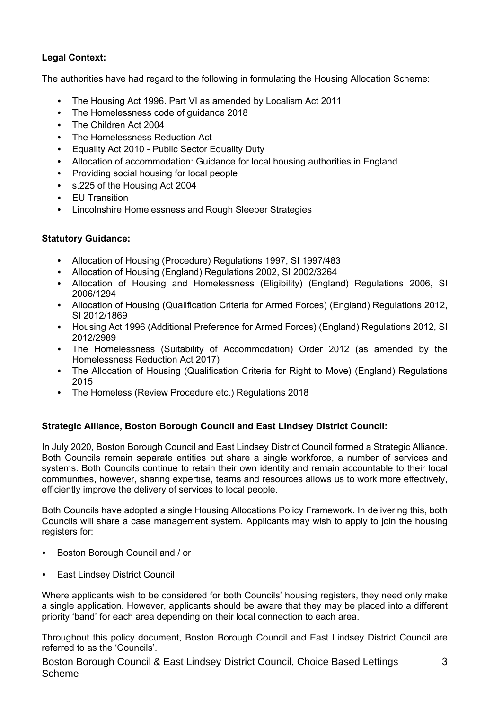## **Legal Context:**

The authorities have had regard to the following in formulating the Housing Allocation Scheme:

- The Housing Act 1996. Part VI as amended by Localism Act 2011
- The Homelessness code of guidance 2018
- The Children Act 2004
- The Homelessness Reduction Act
- Equality Act 2010 Public Sector Equality Duty
- Allocation of accommodation: Guidance for local housing authorities in England
- Providing social housing for local people
- s.225 of the Housing Act 2004
- EU Transition
- Lincolnshire Homelessness and Rough Sleeper Strategies

## **Statutory Guidance:**

- Allocation of Housing (Procedure) Regulations 1997, SI 1997/483
- Allocation of Housing (England) Regulations 2002, SI 2002/3264
- Allocation of Housing and Homelessness (Eligibility) (England) Regulations 2006, SI 2006/1294
- Allocation of Housing (Qualification Criteria for Armed Forces) (England) Regulations 2012, SI 2012/1869
- Housing Act 1996 (Additional Preference for Armed Forces) (England) Regulations 2012, SI 2012/2989
- The Homelessness (Suitability of Accommodation) Order 2012 (as amended by the Homelessness Reduction Act 2017)
- The Allocation of Housing (Qualification Criteria for Right to Move) (England) Regulations 2015
- The Homeless (Review Procedure etc.) Regulations 2018

## **Strategic Alliance, Boston Borough Council and East Lindsey District Council:**

In July 2020, Boston Borough Council and East Lindsey District Council formed a Strategic Alliance. Both Councils remain separate entities but share a single workforce, a number of services and systems. Both Councils continue to retain their own identity and remain accountable to their local communities, however, sharing expertise, teams and resources allows us to work more effectively, efficiently improve the delivery of services to local people.

Both Councils have adopted a single Housing Allocations Policy Framework. In delivering this, both Councils will share a case management system. Applicants may wish to apply to join the housing registers for:

- Boston Borough Council and / or
- East Lindsey District Council

Where applicants wish to be considered for both Councils' housing registers, they need only make a single application. However, applicants should be aware that they may be placed into a different priority 'band' for each area depending on their local connection to each area.

Throughout this policy document, Boston Borough Council and East Lindsey District Council are referred to as the 'Councils'.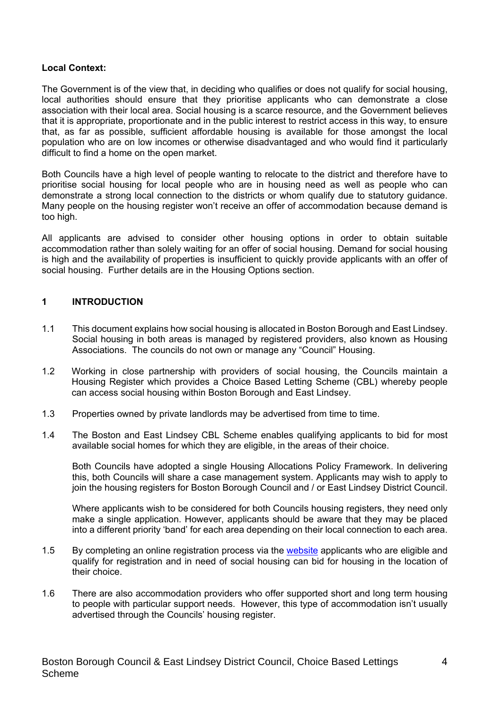#### **Local Context:**

The Government is of the view that, in deciding who qualifies or does not qualify for social housing, local authorities should ensure that they prioritise applicants who can demonstrate a close association with their local area. Social housing is a scarce resource, and the Government believes that it is appropriate, proportionate and in the public interest to restrict access in this way, to ensure that, as far as possible, sufficient affordable housing is available for those amongst the local population who are on low incomes or otherwise disadvantaged and who would find it particularly difficult to find a home on the open market.

Both Councils have a high level of people wanting to relocate to the district and therefore have to prioritise social housing for local people who are in housing need as well as people who can demonstrate a strong local connection to the districts or whom qualify due to statutory guidance. Many people on the housing register won't receive an offer of accommodation because demand is too high.

All applicants are advised to consider other housing options in order to obtain suitable accommodation rather than solely waiting for an offer of social housing. Demand for social housing is high and the availability of properties is insufficient to quickly provide applicants with an offer of social housing. Further details are in the Housing Options section.

#### **1 INTRODUCTION**

- 1.1 This document explains how social housing is allocated in Boston Borough and East Lindsey. Social housing in both areas is managed by registered providers, also known as Housing Associations. The councils do not own or manage any "Council" Housing.
- 1.2 Working in close partnership with providers of social housing, the Councils maintain a Housing Register which provides a Choice Based Letting Scheme (CBL) whereby people can access social housing within Boston Borough and East Lindsey.
- 1.3 Properties owned by private landlords may be advertised from time to time.
- 1.4 The Boston and East Lindsey CBL Scheme enables qualifying applicants to bid for most available social homes for which they are eligible, in the areas of their choice.

Both Councils have adopted a single Housing Allocations Policy Framework. In delivering this, both Councils will share a case management system. Applicants may wish to apply to join the housing registers for Boston Borough Council and / or East Lindsey District Council.

Where applicants wish to be considered for both Councils housing registers, they need only make a single application. However, applicants should be aware that they may be placed into a different priority 'band' for each area depending on their local connection to each area.

- 1.5 By completing an online registration process via the website applicants who are eligible and qualify for registration and in need of social housing can bid for housing in the location of their choice.
- 1.6 There are also accommodation providers who offer supported short and long term housing to people with particular support needs. However, this type of accommodation isn't usually advertised through the Councils' housing register.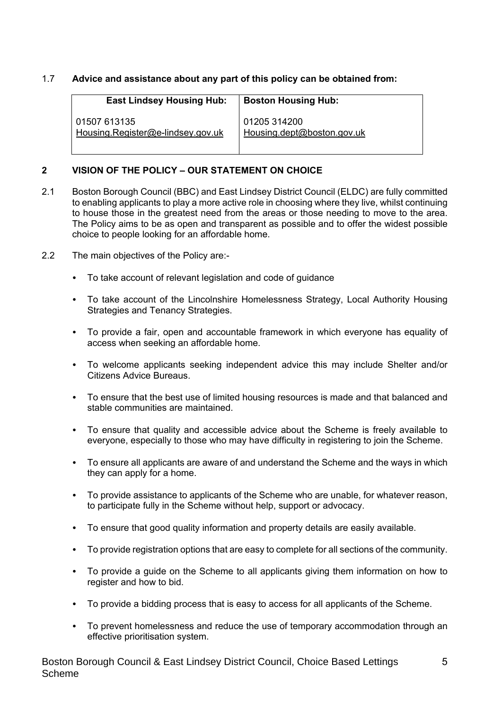### 1.7 **Advice and assistance about any part of this policy can be obtained from:**

| <b>East Lindsey Housing Hub:</b>  | <b>Boston Housing Hub:</b> |
|-----------------------------------|----------------------------|
| 01507 613135                      | 01205 314200               |
| Housing.Register@e-lindsey.gov.uk | Housing.dept@boston.gov.uk |

#### **2 VISION OF THE POLICY – OUR STATEMENT ON CHOICE**

- 2.1 Boston Borough Council (BBC) and East Lindsey District Council (ELDC) are fully committed to enabling applicants to play a more active role in choosing where they live, whilst continuing to house those in the greatest need from the areas or those needing to move to the area. The Policy aims to be as open and transparent as possible and to offer the widest possible choice to people looking for an affordable home.
- 2.2 The main objectives of the Policy are:-
	- To take account of relevant legislation and code of guidance
	- To take account of the Lincolnshire Homelessness Strategy, Local Authority Housing Strategies and Tenancy Strategies.
	- To provide a fair, open and accountable framework in which everyone has equality of access when seeking an affordable home.
	- To welcome applicants seeking independent advice this may include Shelter and/or Citizens Advice Bureaus.
	- To ensure that the best use of limited housing resources is made and that balanced and stable communities are maintained.
	- To ensure that quality and accessible advice about the Scheme is freely available to everyone, especially to those who may have difficulty in registering to join the Scheme.
	- To ensure all applicants are aware of and understand the Scheme and the ways in which they can apply for a home.
	- To provide assistance to applicants of the Scheme who are unable, for whatever reason, to participate fully in the Scheme without help, support or advocacy.
	- To ensure that good quality information and property details are easily available.
	- To provide registration options that are easy to complete for all sections of the community.
	- To provide a guide on the Scheme to all applicants giving them information on how to register and how to bid.
	- To provide a bidding process that is easy to access for all applicants of the Scheme.
	- To prevent homelessness and reduce the use of temporary accommodation through an effective prioritisation system.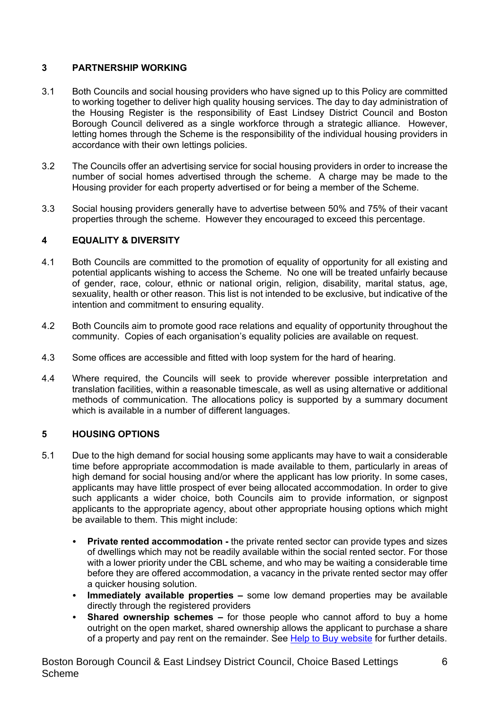## **3 PARTNERSHIP WORKING**

- 3.1 Both Councils and social housing providers who have signed up to this Policy are committed to working together to deliver high quality housing services. The day to day administration of the Housing Register is the responsibility of East Lindsey District Council and Boston Borough Council delivered as a single workforce through a strategic alliance. However, letting homes through the Scheme is the responsibility of the individual housing providers in accordance with their own lettings policies.
- 3.2 The Councils offer an advertising service for social housing providers in order to increase the number of social homes advertised through the scheme. A charge may be made to the Housing provider for each property advertised or for being a member of the Scheme.
- 3.3 Social housing providers generally have to advertise between 50% and 75% of their vacant properties through the scheme. However they encouraged to exceed this percentage.

## **4 EQUALITY & DIVERSITY**

- 4.1 Both Councils are committed to the promotion of equality of opportunity for all existing and potential applicants wishing to access the Scheme. No one will be treated unfairly because of gender, race, colour, ethnic or national origin, religion, disability, marital status, age, sexuality, health or other reason. This list is not intended to be exclusive, but indicative of the intention and commitment to ensuring equality.
- 4.2 Both Councils aim to promote good race relations and equality of opportunity throughout the community. Copies of each organisation's equality policies are available on request.
- 4.3 Some offices are accessible and fitted with loop system for the hard of hearing.
- 4.4 Where required, the Councils will seek to provide wherever possible interpretation and translation facilities, within a reasonable timescale, as well as using alternative or additional methods of communication. The allocations policy is supported by a summary document which is available in a number of different languages.

## **5 HOUSING OPTIONS**

- 5.1 Due to the high demand for social housing some applicants may have to wait a considerable time before appropriate accommodation is made available to them, particularly in areas of high demand for social housing and/or where the applicant has low priority. In some cases, applicants may have little prospect of ever being allocated accommodation. In order to give such applicants a wider choice, both Councils aim to provide information, or signpost applicants to the appropriate agency, about other appropriate housing options which might be available to them. This might include:
	- **Private rented accommodation -** the private rented sector can provide types and sizes of dwellings which may not be readily available within the social rented sector. For those with a lower priority under the CBL scheme, and who may be waiting a considerable time before they are offered accommodation, a vacancy in the private rented sector may offer a quicker housing solution.
	- **Immediately available properties –** some low demand properties may be available directly through the registered providers
	- **Shared ownership schemes –** for those people who cannot afford to buy a home outright on the open market, shared ownership allows the applicant to purchase a share of a property and pay rent on the remainder. See Help to Buy website for further details.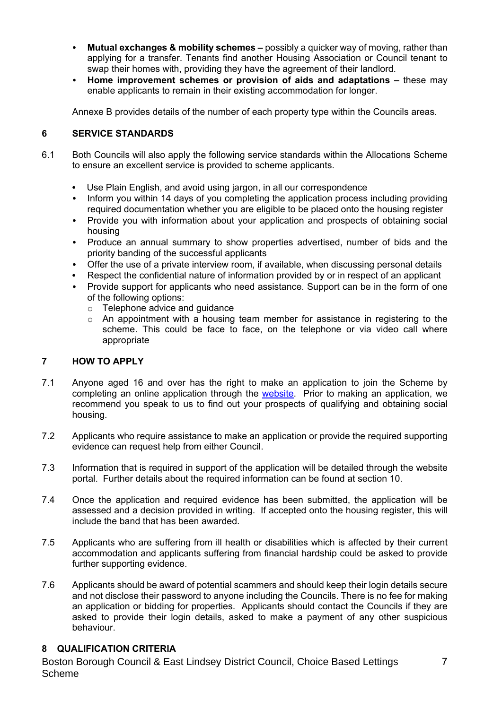- **Mutual exchanges & mobility schemes –** possibly a quicker way of moving, rather than applying for a transfer. Tenants find another Housing Association or Council tenant to swap their homes with, providing they have the agreement of their landlord.
- **Home improvement schemes or provision of aids and adaptations –** these may enable applicants to remain in their existing accommodation for longer.

Annexe B provides details of the number of each property type within the Councils areas.

#### **6 SERVICE STANDARDS**

- 6.1 Both Councils will also apply the following service standards within the Allocations Scheme to ensure an excellent service is provided to scheme applicants.
	- Use Plain English, and avoid using jargon, in all our correspondence
	- Inform you within 14 days of you completing the application process including providing required documentation whether you are eligible to be placed onto the housing register
	- Provide you with information about your application and prospects of obtaining social housing
	- Produce an annual summary to show properties advertised, number of bids and the priority banding of the successful applicants
	- Offer the use of a private interview room, if available, when discussing personal details
	- Respect the confidential nature of information provided by or in respect of an applicant
	- Provide support for applicants who need assistance. Support can be in the form of one of the following options:
		- o Telephone advice and guidance
		- $\circ$  An appointment with a housing team member for assistance in registering to the scheme. This could be face to face, on the telephone or via video call where appropriate

#### **7 HOW TO APPLY**

- 7.1 Anyone aged 16 and over has the right to make an application to join the Scheme by completing an online application through the website. Prior to making an application, we recommend you speak to us to find out your prospects of qualifying and obtaining social housing.
- 7.2 Applicants who require assistance to make an application or provide the required supporting evidence can request help from either Council.
- 7.3 Information that is required in support of the application will be detailed through the website portal. Further details about the required information can be found at section 10.
- 7.4 Once the application and required evidence has been submitted, the application will be assessed and a decision provided in writing. If accepted onto the housing register, this will include the band that has been awarded.
- 7.5 Applicants who are suffering from ill health or disabilities which is affected by their current accommodation and applicants suffering from financial hardship could be asked to provide further supporting evidence.
- 7.6 Applicants should be award of potential scammers and should keep their login details secure and not disclose their password to anyone including the Councils. There is no fee for making an application or bidding for properties. Applicants should contact the Councils if they are asked to provide their login details, asked to make a payment of any other suspicious behaviour.

#### **8 QUALIFICATION CRITERIA**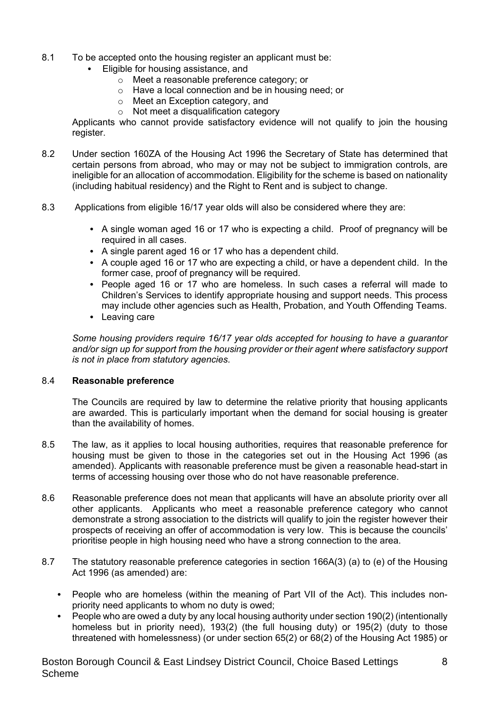- 8.1 To be accepted onto the housing register an applicant must be:
	- Eligible for housing assistance, and
		- o Meet a reasonable preference category; or
		- o Have a local connection and be in housing need; or
		- o Meet an Exception category, and
		- o Not meet a disqualification category

Applicants who cannot provide satisfactory evidence will not qualify to join the housing register.

- 8.2 Under section 160ZA of the Housing Act 1996 the Secretary of State has determined that certain persons from abroad, who may or may not be subject to immigration controls, are ineligible for an allocation of accommodation. Eligibility for the scheme is based on nationality (including habitual residency) and the Right to Rent and is subject to change.
- 8.3 Applications from eligible 16/17 year olds will also be considered where they are:
	- A single woman aged 16 or 17 who is expecting a child. Proof of pregnancy will be required in all cases.
	- A single parent aged 16 or 17 who has a dependent child.
	- $\bullet$  A couple aged 16 or 17 who are expecting a child, or have a dependent child. In the former case, proof of pregnancy will be required.
	- People aged 16 or 17 who are homeless. In such cases a referral will made to Children's Services to identify appropriate housing and support needs. This process may include other agencies such as Health, Probation, and Youth Offending Teams.
	- Leaving care

*Some housing providers require 16/17 year olds accepted for housing to have a guarantor and/or sign up for support from the housing provider or their agent where satisfactory support is not in place from statutory agencies.*

#### 8.4 **Reasonable preference**

The Councils are required by law to determine the relative priority that housing applicants are awarded. This is particularly important when the demand for social housing is greater than the availability of homes.

- 8.5 The law, as it applies to local housing authorities, requires that reasonable preference for housing must be given to those in the categories set out in the Housing Act 1996 (as amended). Applicants with reasonable preference must be given a reasonable head-start in terms of accessing housing over those who do not have reasonable preference.
- 8.6 Reasonable preference does not mean that applicants will have an absolute priority over all other applicants. Applicants who meet a reasonable preference category who cannot demonstrate a strong association to the districts will qualify to join the register however their prospects of receiving an offer of accommodation is very low. This is because the councils' prioritise people in high housing need who have a strong connection to the area.
- 8.7 The statutory reasonable preference categories in section 166A(3) (a) to (e) of the Housing Act 1996 (as amended) are:
	- People who are homeless (within the meaning of Part VII of the Act). This includes nonpriority need applicants to whom no duty is owed;
	- People who are owed a duty by any local housing authority under section 190(2) (intentionally homeless but in priority need), 193(2) (the full housing duty) or 195(2) (duty to those threatened with homelessness) (or under section 65(2) or 68(2) of the Housing Act 1985) or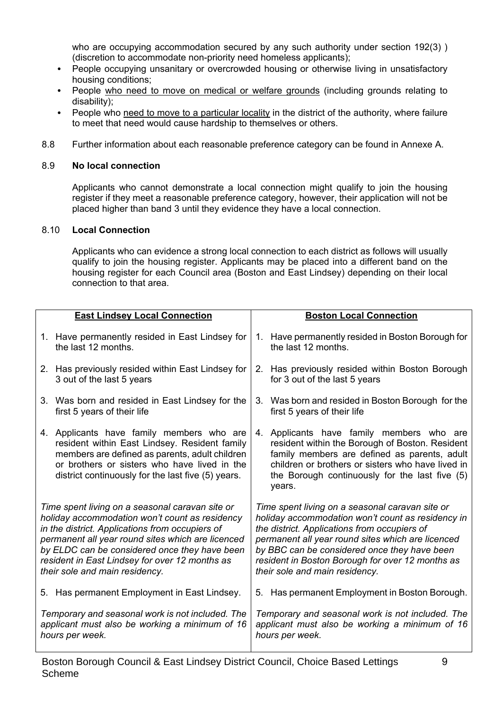who are occupying accommodation secured by any such authority under section 192(3) ) (discretion to accommodate non-priority need homeless applicants);

- People occupying unsanitary or overcrowded housing or otherwise living in unsatisfactory housing conditions;
- People who need to move on medical or welfare grounds (including grounds relating to disability);
- People who need to move to a particular locality in the district of the authority, where failure to meet that need would cause hardship to themselves or others.
- 8.8 Further information about each reasonable preference category can be found in Annexe A.

#### 8.9 **No local connection**

Applicants who cannot demonstrate a local connection might qualify to join the housing register if they meet a reasonable preference category, however, their application will not be placed higher than band 3 until they evidence they have a local connection.

#### 8.10 **Local Connection**

Applicants who can evidence a strong local connection to each district as follows will usually qualify to join the housing register. Applicants may be placed into a different band on the housing register for each Council area (Boston and East Lindsey) depending on their local connection to that area.

|                                                                                                                                                                                                                                                                                                                                                | <b>East Lindsey Local Connection</b>                                                                                                                                                                                                               |    | <b>Boston Local Connection</b>                                                                                                                                                                                                                                                                                                                  |
|------------------------------------------------------------------------------------------------------------------------------------------------------------------------------------------------------------------------------------------------------------------------------------------------------------------------------------------------|----------------------------------------------------------------------------------------------------------------------------------------------------------------------------------------------------------------------------------------------------|----|-------------------------------------------------------------------------------------------------------------------------------------------------------------------------------------------------------------------------------------------------------------------------------------------------------------------------------------------------|
|                                                                                                                                                                                                                                                                                                                                                | 1. Have permanently resided in East Lindsey for<br>the last 12 months.                                                                                                                                                                             | 1. | Have permanently resided in Boston Borough for<br>the last 12 months.                                                                                                                                                                                                                                                                           |
|                                                                                                                                                                                                                                                                                                                                                | 2. Has previously resided within East Lindsey for<br>3 out of the last 5 years                                                                                                                                                                     |    | 2. Has previously resided within Boston Borough<br>for 3 out of the last 5 years                                                                                                                                                                                                                                                                |
|                                                                                                                                                                                                                                                                                                                                                | 3. Was born and resided in East Lindsey for the<br>first 5 years of their life                                                                                                                                                                     |    | 3. Was born and resided in Boston Borough for the<br>first 5 years of their life                                                                                                                                                                                                                                                                |
|                                                                                                                                                                                                                                                                                                                                                | 4. Applicants have family members who are<br>resident within East Lindsey. Resident family<br>members are defined as parents, adult children<br>or brothers or sisters who have lived in the<br>district continuously for the last five (5) years. | 4. | Applicants have family members who are<br>resident within the Borough of Boston. Resident<br>family members are defined as parents, adult<br>children or brothers or sisters who have lived in<br>the Borough continuously for the last five (5)<br>years.                                                                                      |
| Time spent living on a seasonal caravan site or<br>holiday accommodation won't count as residency<br>in the district. Applications from occupiers of<br>permanent all year round sites which are licenced<br>by ELDC can be considered once they have been<br>resident in East Lindsey for over 12 months as<br>their sole and main residency. |                                                                                                                                                                                                                                                    |    | Time spent living on a seasonal caravan site or<br>holiday accommodation won't count as residency in<br>the district. Applications from occupiers of<br>permanent all year round sites which are licenced<br>by BBC can be considered once they have been<br>resident in Boston Borough for over 12 months as<br>their sole and main residency. |
| 5. Has permanent Employment in East Lindsey.                                                                                                                                                                                                                                                                                                   |                                                                                                                                                                                                                                                    |    | 5. Has permanent Employment in Boston Borough.                                                                                                                                                                                                                                                                                                  |
| Temporary and seasonal work is not included. The<br>applicant must also be working a minimum of 16<br>hours per week.                                                                                                                                                                                                                          |                                                                                                                                                                                                                                                    |    | Temporary and seasonal work is not included. The<br>applicant must also be working a minimum of 16<br>hours per week.                                                                                                                                                                                                                           |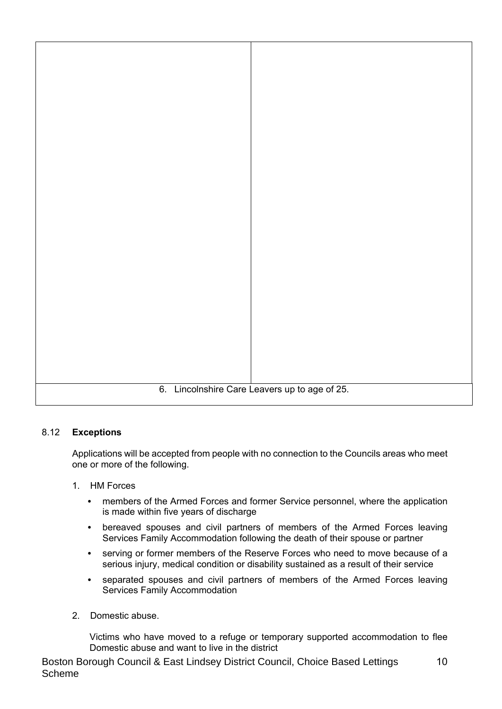

#### 8.12 **Exceptions**

Applications will be accepted from people with no connection to the Councils areas who meet one or more of the following.

- 1. HM Forces
	- members of the Armed Forces and former Service personnel, where the application is made within five years of discharge
	- bereaved spouses and civil partners of members of the Armed Forces leaving Services Family Accommodation following the death of their spouse or partner
	- serving or former members of the Reserve Forces who need to move because of a serious injury, medical condition or disability sustained as a result of their service
	- separated spouses and civil partners of members of the Armed Forces leaving Services Family Accommodation
- 2. Domestic abuse.

Victims who have moved to a refuge or temporary supported accommodation to flee Domestic abuse and want to live in the district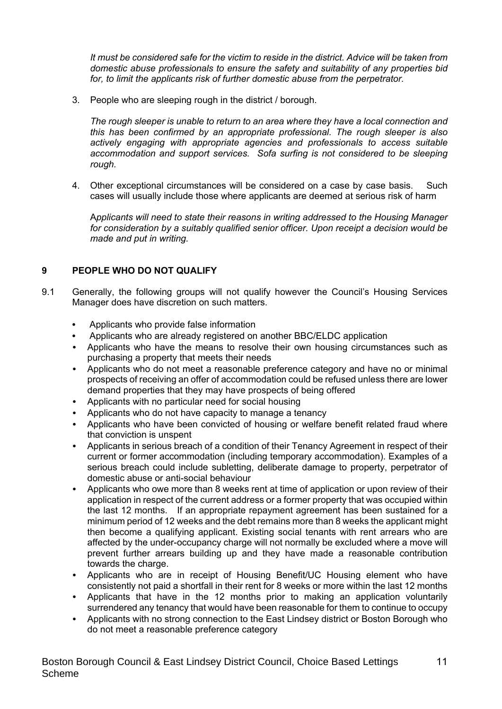*It must be considered safe for the victim to reside in the district. Advice will be taken from domestic abuse professionals to ensure the safety and suitability of any properties bid for, to limit the applicants risk of further domestic abuse from the perpetrator.*

3. People who are sleeping rough in the district / borough.

*The rough sleeper is unable to return to an area where they have a local connection and this has been confirmed by an appropriate professional. The rough sleeper is also actively engaging with appropriate agencies and professionals to access suitable accommodation and support services. Sofa surfing is not considered to be sleeping rough.*

4. Other exceptional circumstances will be considered on a case by case basis. Such cases will usually include those where applicants are deemed at serious risk of harm

A*pplicants will need to state their reasons in writing addressed to the Housing Manager for consideration by a suitably qualified senior officer. Upon receipt a decision would be made and put in writing.*

#### **9 PEOPLE WHO DO NOT QUALIFY**

- 9.1 Generally, the following groups will not qualify however the Council's Housing Services Manager does have discretion on such matters.
	- Applicants who provide false information
	- Applicants who are already registered on another BBC/ELDC application
	- Applicants who have the means to resolve their own housing circumstances such as purchasing a property that meets their needs
	- Applicants who do not meet a reasonable preference category and have no or minimal prospects of receiving an offer of accommodation could be refused unless there are lower demand properties that they may have prospects of being offered
	- Applicants with no particular need for social housing
	- Applicants who do not have capacity to manage a tenancy
	- Applicants who have been convicted of housing or welfare benefit related fraud where that conviction is unspent
	- Applicants in serious breach of a condition of their Tenancy Agreement in respect of their current or former accommodation (including temporary accommodation). Examples of a serious breach could include subletting, deliberate damage to property, perpetrator of domestic abuse or anti-social behaviour
	- Applicants who owe more than 8 weeks rent at time of application or upon review of their application in respect of the current address or a former property that was occupied within the last 12 months. If an appropriate repayment agreement has been sustained for a minimum period of 12 weeks and the debt remains more than 8 weeks the applicant might then become a qualifying applicant. Existing social tenants with rent arrears who are affected by the under-occupancy charge will not normally be excluded where a move will prevent further arrears building up and they have made a reasonable contribution towards the charge.
	- Applicants who are in receipt of Housing Benefit/UC Housing element who have consistently not paid a shortfall in their rent for 8 weeks or more within the last 12 months
	- Applicants that have in the 12 months prior to making an application voluntarily surrendered any tenancy that would have been reasonable for them to continue to occupy
	- Applicants with no strong connection to the East Lindsey district or Boston Borough who do not meet a reasonable preference category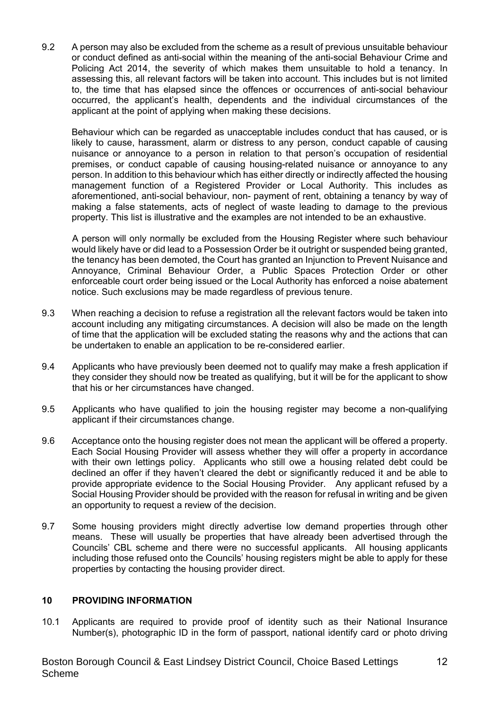9.2 A person may also be excluded from the scheme as a result of previous unsuitable behaviour or conduct defined as anti-social within the meaning of the anti-social Behaviour Crime and Policing Act 2014, the severity of which makes them unsuitable to hold a tenancy. In assessing this, all relevant factors will be taken into account. This includes but is not limited to, the time that has elapsed since the offences or occurrences of anti-social behaviour occurred, the applicant's health, dependents and the individual circumstances of the applicant at the point of applying when making these decisions.

Behaviour which can be regarded as unacceptable includes conduct that has caused, or is likely to cause, harassment, alarm or distress to any person, conduct capable of causing nuisance or annoyance to a person in relation to that person's occupation of residential premises, or conduct capable of causing housing-related nuisance or annoyance to any person. In addition to this behaviour which has either directly or indirectly affected the housing management function of a Registered Provider or Local Authority. This includes as aforementioned, anti-social behaviour, non- payment of rent, obtaining a tenancy by way of making a false statements, acts of neglect of waste leading to damage to the previous property. This list is illustrative and the examples are not intended to be an exhaustive.

A person will only normally be excluded from the Housing Register where such behaviour would likely have or did lead to a Possession Order be it outright or suspended being granted, the tenancy has been demoted, the Court has granted an Injunction to Prevent Nuisance and Annoyance, Criminal Behaviour Order, a Public Spaces Protection Order or other enforceable court order being issued or the Local Authority has enforced a noise abatement notice. Such exclusions may be made regardless of previous tenure.

- 9.3 When reaching a decision to refuse a registration all the relevant factors would be taken into account including any mitigating circumstances. A decision will also be made on the length of time that the application will be excluded stating the reasons why and the actions that can be undertaken to enable an application to be re-considered earlier.
- 9.4 Applicants who have previously been deemed not to qualify may make a fresh application if they consider they should now be treated as qualifying, but it will be for the applicant to show that his or her circumstances have changed.
- 9.5 Applicants who have qualified to join the housing register may become a non-qualifying applicant if their circumstances change.
- 9.6 Acceptance onto the housing register does not mean the applicant will be offered a property. Each Social Housing Provider will assess whether they will offer a property in accordance with their own lettings policy. Applicants who still owe a housing related debt could be declined an offer if they haven't cleared the debt or significantly reduced it and be able to provide appropriate evidence to the Social Housing Provider. Any applicant refused by a Social Housing Provider should be provided with the reason for refusal in writing and be given an opportunity to request a review of the decision.
- 9.7 Some housing providers might directly advertise low demand properties through other means. These will usually be properties that have already been advertised through the Councils' CBL scheme and there were no successful applicants. All housing applicants including those refused onto the Councils' housing registers might be able to apply for these properties by contacting the housing provider direct.

#### **10 PROVIDING INFORMATION**

10.1 Applicants are required to provide proof of identity such as their National Insurance Number(s), photographic ID in the form of passport, national identify card or photo driving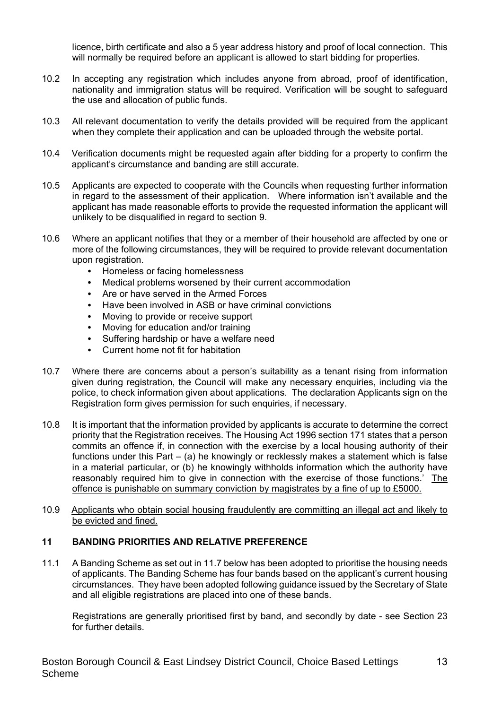licence, birth certificate and also a 5 year address history and proof of local connection. This will normally be required before an applicant is allowed to start bidding for properties.

- 10.2 In accepting any registration which includes anyone from abroad, proof of identification, nationality and immigration status will be required. Verification will be sought to safeguard the use and allocation of public funds.
- 10.3 All relevant documentation to verify the details provided will be required from the applicant when they complete their application and can be uploaded through the website portal.
- 10.4 Verification documents might be requested again after bidding for a property to confirm the applicant's circumstance and banding are still accurate.
- 10.5 Applicants are expected to cooperate with the Councils when requesting further information in regard to the assessment of their application. Where information isn't available and the applicant has made reasonable efforts to provide the requested information the applicant will unlikely to be disqualified in regard to section 9.
- 10.6 Where an applicant notifies that they or a member of their household are affected by one or more of the following circumstances, they will be required to provide relevant documentation upon registration.
	- Homeless or facing homelessness
	- Medical problems worsened by their current accommodation
	- Are or have served in the Armed Forces
	- Have been involved in ASB or have criminal convictions
	- Moving to provide or receive support
	- Moving for education and/or training
	- Suffering hardship or have a welfare need
	- Current home not fit for habitation
- 10.7 Where there are concerns about a person's suitability as a tenant rising from information given during registration, the Council will make any necessary enquiries, including via the police, to check information given about applications. The declaration Applicants sign on the Registration form gives permission for such enquiries, if necessary.
- 10.8 It is important that the information provided by applicants is accurate to determine the correct priority that the Registration receives. The Housing Act 1996 section 171 states that a person commits an offence if, in connection with the exercise by a local housing authority of their functions under this Part – (a) he knowingly or recklessly makes a statement which is false in a material particular, or (b) he knowingly withholds information which the authority have reasonably required him to give in connection with the exercise of those functions.' The offence is punishable on summary conviction by magistrates by a fine of up to £5000.
- 10.9 Applicants who obtain social housing fraudulently are committing an illegal act and likely to be evicted and fined.

#### **11 BANDING PRIORITIES AND RELATIVE PREFERENCE**

11.1 A Banding Scheme as set out in 11.7 below has been adopted to prioritise the housing needs of applicants. The Banding Scheme has four bands based on the applicant's current housing circumstances. They have been adopted following guidance issued by the Secretary of State and all eligible registrations are placed into one of these bands.

Registrations are generally prioritised first by band, and secondly by date - see Section 23 for further details.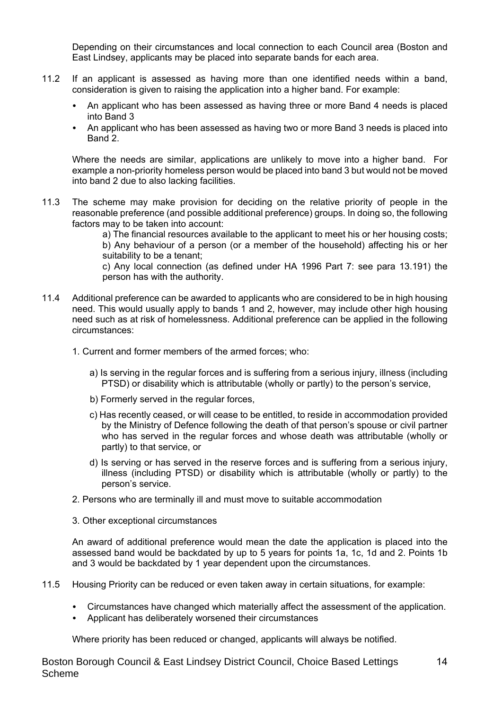Depending on their circumstances and local connection to each Council area (Boston and East Lindsey, applicants may be placed into separate bands for each area.

- 11.2 If an applicant is assessed as having more than one identified needs within a band, consideration is given to raising the application into a higher band. For example:
	- An applicant who has been assessed as having three or more Band 4 needs is placed into Band 3
	- An applicant who has been assessed as having two or more Band 3 needs is placed into Band 2.

Where the needs are similar, applications are unlikely to move into a higher band. For example a non-priority homeless person would be placed into band 3 but would not be moved into band 2 due to also lacking facilities.

11.3 The scheme may make provision for deciding on the relative priority of people in the reasonable preference (and possible additional preference) groups. In doing so, the following factors may to be taken into account:

> a) The financial resources available to the applicant to meet his or her housing costs; b) Any behaviour of a person (or a member of the household) affecting his or her suitability to be a tenant;

> c) Any local connection (as defined under HA 1996 Part 7: see para 13.191) the person has with the authority.

- 11.4 Additional preference can be awarded to applicants who are considered to be in high housing need. This would usually apply to bands 1 and 2, however, may include other high housing need such as at risk of homelessness. Additional preference can be applied in the following circumstances:
	- 1. Current and former members of the armed forces; who:
		- a) Is serving in the regular forces and is suffering from a serious injury, illness (including PTSD) or disability which is attributable (wholly or partly) to the person's service,
		- b) Formerly served in the regular forces,
		- c) Has recently ceased, or will cease to be entitled, to reside in accommodation provided by the Ministry of Defence following the death of that person's spouse or civil partner who has served in the regular forces and whose death was attributable (wholly or partly) to that service, or
		- d) Is serving or has served in the reserve forces and is suffering from a serious injury, illness (including PTSD) or disability which is attributable (wholly or partly) to the person's service.
	- 2. Persons who are terminally ill and must move to suitable accommodation
	- 3. Other exceptional circumstances

An award of additional preference would mean the date the application is placed into the assessed band would be backdated by up to 5 years for points 1a, 1c, 1d and 2. Points 1b and 3 would be backdated by 1 year dependent upon the circumstances.

- 11.5 Housing Priority can be reduced or even taken away in certain situations, for example:
	- Circumstances have changed which materially affect the assessment of the application.
	- Applicant has deliberately worsened their circumstances

Where priority has been reduced or changed, applicants will always be notified.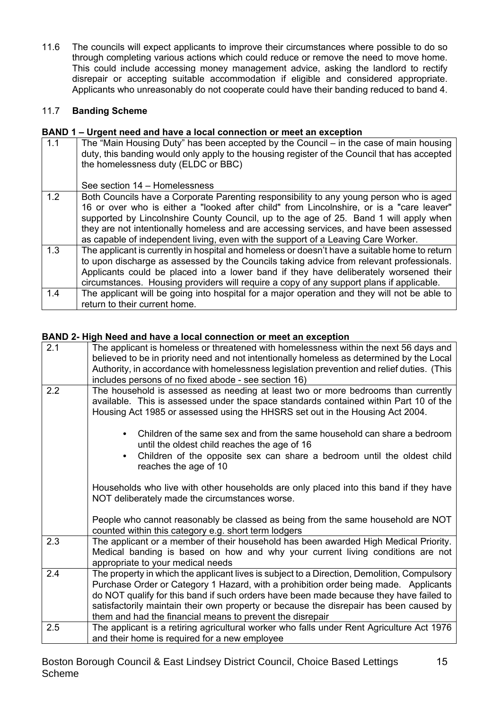11.6 The councils will expect applicants to improve their circumstances where possible to do so through completing various actions which could reduce or remove the need to move home. This could include accessing money management advice, asking the landlord to rectify disrepair or accepting suitable accommodation if eligible and considered appropriate. Applicants who unreasonably do not cooperate could have their banding reduced to band 4.

## 11.7 **Banding Scheme**

#### **BAND 1 – Urgent need and have a local connection or meet an exception**

| 1.1 | The "Main Housing Duty" has been accepted by the Council – in the case of main housing<br>duty, this banding would only apply to the housing register of the Council that has accepted<br>the homelessness duty (ELDC or BBC)<br>See section 14 – Homelessness                                                                                                                                                                                              |
|-----|-------------------------------------------------------------------------------------------------------------------------------------------------------------------------------------------------------------------------------------------------------------------------------------------------------------------------------------------------------------------------------------------------------------------------------------------------------------|
| 1.2 | Both Councils have a Corporate Parenting responsibility to any young person who is aged<br>16 or over who is either a "looked after child" from Lincolnshire, or is a "care leaver"<br>supported by Lincolnshire County Council, up to the age of 25. Band 1 will apply when<br>they are not intentionally homeless and are accessing services, and have been assessed<br>as capable of independent living, even with the support of a Leaving Care Worker. |
| 1.3 | The applicant is currently in hospital and homeless or doesn't have a suitable home to return<br>to upon discharge as assessed by the Councils taking advice from relevant professionals.<br>Applicants could be placed into a lower band if they have deliberately worsened their<br>circumstances. Housing providers will require a copy of any support plans if applicable.                                                                              |
| 1.4 | The applicant will be going into hospital for a major operation and they will not be able to<br>return to their current home.                                                                                                                                                                                                                                                                                                                               |

### **BAND 2- High Need and have a local connection or meet an exception**

| 2.1 | The applicant is homeless or threatened with homelessness within the next 56 days and<br>believed to be in priority need and not intentionally homeless as determined by the Local<br>Authority, in accordance with homelessness legislation prevention and relief duties. (This<br>includes persons of no fixed abode - see section 16)                                                                                             |
|-----|--------------------------------------------------------------------------------------------------------------------------------------------------------------------------------------------------------------------------------------------------------------------------------------------------------------------------------------------------------------------------------------------------------------------------------------|
| 2.2 | The household is assessed as needing at least two or more bedrooms than currently<br>available. This is assessed under the space standards contained within Part 10 of the<br>Housing Act 1985 or assessed using the HHSRS set out in the Housing Act 2004.                                                                                                                                                                          |
|     | Children of the same sex and from the same household can share a bedroom<br>until the oldest child reaches the age of 16                                                                                                                                                                                                                                                                                                             |
|     | Children of the opposite sex can share a bedroom until the oldest child<br>reaches the age of 10                                                                                                                                                                                                                                                                                                                                     |
|     | Households who live with other households are only placed into this band if they have<br>NOT deliberately made the circumstances worse.                                                                                                                                                                                                                                                                                              |
|     | People who cannot reasonably be classed as being from the same household are NOT<br>counted within this category e.g. short term lodgers                                                                                                                                                                                                                                                                                             |
| 2.3 | The applicant or a member of their household has been awarded High Medical Priority.<br>Medical banding is based on how and why your current living conditions are not<br>appropriate to your medical needs                                                                                                                                                                                                                          |
| 2.4 | The property in which the applicant lives is subject to a Direction, Demolition, Compulsory<br>Purchase Order or Category 1 Hazard, with a prohibition order being made. Applicants<br>do NOT qualify for this band if such orders have been made because they have failed to<br>satisfactorily maintain their own property or because the disrepair has been caused by<br>them and had the financial means to prevent the disrepair |
| 2.5 | The applicant is a retiring agricultural worker who falls under Rent Agriculture Act 1976<br>and their home is required for a new employee                                                                                                                                                                                                                                                                                           |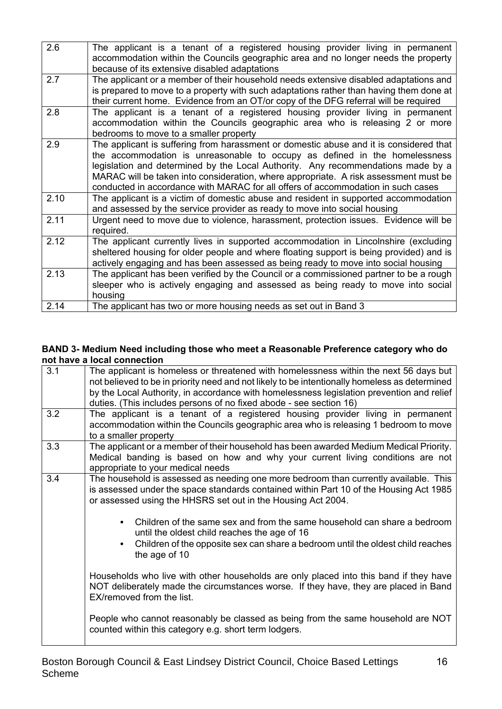| 2.6  | The applicant is a tenant of a registered housing provider living in permanent          |
|------|-----------------------------------------------------------------------------------------|
|      | accommodation within the Councils geographic area and no longer needs the property      |
|      | because of its extensive disabled adaptations                                           |
| 2.7  | The applicant or a member of their household needs extensive disabled adaptations and   |
|      | is prepared to move to a property with such adaptations rather than having them done at |
|      | their current home. Evidence from an OT/or copy of the DFG referral will be required    |
| 2.8  | The applicant is a tenant of a registered housing provider living in permanent          |
|      | accommodation within the Councils geographic area who is releasing 2 or more            |
|      | bedrooms to move to a smaller property                                                  |
| 2.9  | The applicant is suffering from harassment or domestic abuse and it is considered that  |
|      | the accommodation is unreasonable to occupy as defined in the homelessness              |
|      | legislation and determined by the Local Authority. Any recommendations made by a        |
|      | MARAC will be taken into consideration, where appropriate. A risk assessment must be    |
|      | conducted in accordance with MARAC for all offers of accommodation in such cases        |
| 2.10 | The applicant is a victim of domestic abuse and resident in supported accommodation     |
|      | and assessed by the service provider as ready to move into social housing               |
| 2.11 | Urgent need to move due to violence, harassment, protection issues. Evidence will be    |
|      | required.                                                                               |
| 2.12 | The applicant currently lives in supported accommodation in Lincolnshire (excluding     |
|      | sheltered housing for older people and where floating support is being provided) and is |
|      | actively engaging and has been assessed as being ready to move into social housing      |
| 2.13 | The applicant has been verified by the Council or a commissioned partner to be a rough  |
|      | sleeper who is actively engaging and assessed as being ready to move into social        |
|      | housing                                                                                 |
| 2.14 | The applicant has two or more housing needs as set out in Band 3                        |
|      |                                                                                         |

#### **BAND 3- Medium Need including those who meet a Reasonable Preference category who do not have a local connection**

| 3.1 | The applicant is homeless or threatened with homelessness within the next 56 days but<br>not believed to be in priority need and not likely to be intentionally homeless as determined<br>by the Local Authority, in accordance with homelessness legislation prevention and relief<br>duties. (This includes persons of no fixed abode - see section 16) |
|-----|-----------------------------------------------------------------------------------------------------------------------------------------------------------------------------------------------------------------------------------------------------------------------------------------------------------------------------------------------------------|
| 3.2 | The applicant is a tenant of a registered housing provider living in permanent<br>accommodation within the Councils geographic area who is releasing 1 bedroom to move<br>to a smaller property                                                                                                                                                           |
| 3.3 | The applicant or a member of their household has been awarded Medium Medical Priority.<br>Medical banding is based on how and why your current living conditions are not<br>appropriate to your medical needs                                                                                                                                             |
| 3.4 | The household is assessed as needing one more bedroom than currently available. This<br>is assessed under the space standards contained within Part 10 of the Housing Act 1985<br>or assessed using the HHSRS set out in the Housing Act 2004.                                                                                                            |
|     | Children of the same sex and from the same household can share a bedroom<br>$\bullet$<br>until the oldest child reaches the age of 16<br>Children of the opposite sex can share a bedroom until the oldest child reaches<br>$\bullet$<br>the age of 10                                                                                                    |
|     | Households who live with other households are only placed into this band if they have<br>NOT deliberately made the circumstances worse. If they have, they are placed in Band<br>EX/removed from the list.                                                                                                                                                |
|     | People who cannot reasonably be classed as being from the same household are NOT<br>counted within this category e.g. short term lodgers.                                                                                                                                                                                                                 |
|     |                                                                                                                                                                                                                                                                                                                                                           |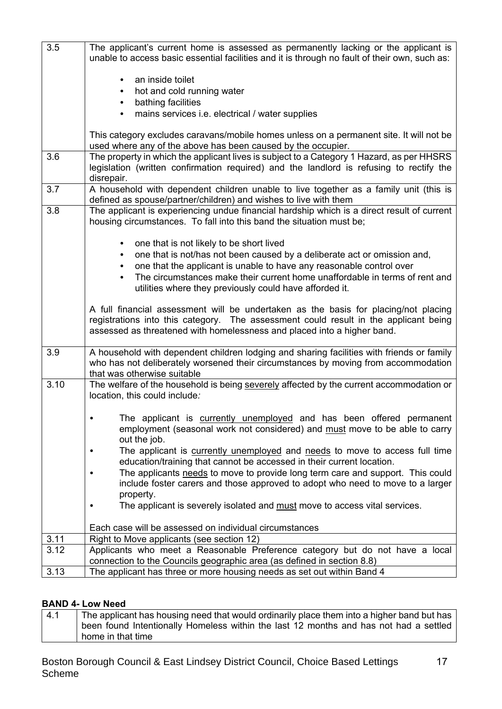| 3.5  | The applicant's current home is assessed as permanently lacking or the applicant is<br>unable to access basic essential facilities and it is through no fault of their own, such as:                                                                   |  |  |
|------|--------------------------------------------------------------------------------------------------------------------------------------------------------------------------------------------------------------------------------------------------------|--|--|
|      | an inside toilet                                                                                                                                                                                                                                       |  |  |
|      | hot and cold running water                                                                                                                                                                                                                             |  |  |
|      | bathing facilities                                                                                                                                                                                                                                     |  |  |
|      | mains services i.e. electrical / water supplies                                                                                                                                                                                                        |  |  |
|      | This category excludes caravans/mobile homes unless on a permanent site. It will not be<br>used where any of the above has been caused by the occupier.                                                                                                |  |  |
| 3.6  | The property in which the applicant lives is subject to a Category 1 Hazard, as per HHSRS<br>legislation (written confirmation required) and the landlord is refusing to rectify the<br>disrepair.                                                     |  |  |
| 3.7  | A household with dependent children unable to live together as a family unit (this is<br>defined as spouse/partner/children) and wishes to live with them                                                                                              |  |  |
| 3.8  | The applicant is experiencing undue financial hardship which is a direct result of current<br>housing circumstances. To fall into this band the situation must be;                                                                                     |  |  |
|      | one that is not likely to be short lived<br>$\bullet$                                                                                                                                                                                                  |  |  |
|      | one that is not/has not been caused by a deliberate act or omission and,                                                                                                                                                                               |  |  |
|      | one that the applicant is unable to have any reasonable control over                                                                                                                                                                                   |  |  |
|      | The circumstances make their current home unaffordable in terms of rent and<br>utilities where they previously could have afforded it.                                                                                                                 |  |  |
|      | A full financial assessment will be undertaken as the basis for placing/not placing<br>registrations into this category. The assessment could result in the applicant being<br>assessed as threatened with homelessness and placed into a higher band. |  |  |
| 3.9  | A household with dependent children lodging and sharing facilities with friends or family<br>who has not deliberately worsened their circumstances by moving from accommodation<br>that was otherwise suitable                                         |  |  |
| 3.10 | The welfare of the household is being severely affected by the current accommodation or<br>location, this could include:                                                                                                                               |  |  |
|      | The applicant is currently unemployed and has been offered permanent<br>employment (seasonal work not considered) and must move to be able to carry<br>out the job.                                                                                    |  |  |
|      | The applicant is currently unemployed and needs to move to access full time<br>education/training that cannot be accessed in their current location.                                                                                                   |  |  |
|      | The applicants needs to move to provide long term care and support. This could<br>include foster carers and those approved to adopt who need to move to a larger                                                                                       |  |  |
|      | property.                                                                                                                                                                                                                                              |  |  |
|      | The applicant is severely isolated and must move to access vital services.                                                                                                                                                                             |  |  |
|      | Each case will be assessed on individual circumstances                                                                                                                                                                                                 |  |  |
| 3.11 | Right to Move applicants (see section 12)                                                                                                                                                                                                              |  |  |
| 3.12 | Applicants who meet a Reasonable Preference category but do not have a local                                                                                                                                                                           |  |  |
| 3.13 | connection to the Councils geographic area (as defined in section 8.8)                                                                                                                                                                                 |  |  |
|      | The applicant has three or more housing needs as set out within Band 4                                                                                                                                                                                 |  |  |

## **BAND 4- Low Need**

| $\vert 4.1 \vert$ | The applicant has housing need that would ordinarily place them into a higher band but has |
|-------------------|--------------------------------------------------------------------------------------------|
|                   | been found Intentionally Homeless within the last 12 months and has not had a settled      |
|                   | home in that time                                                                          |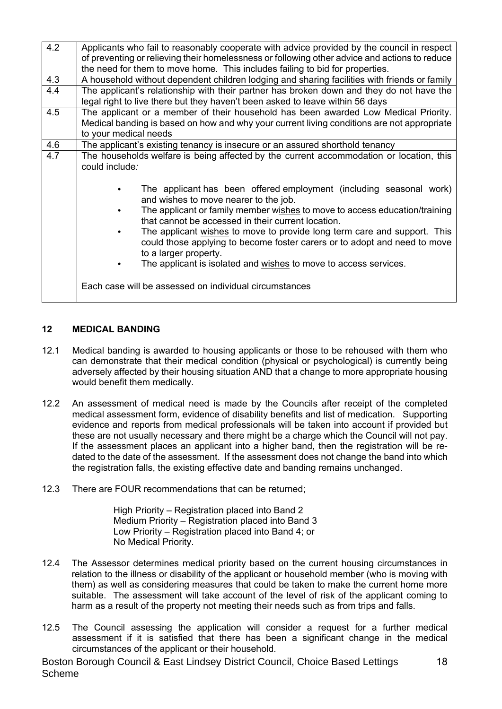| 4.2 | Applicants who fail to reasonably cooperate with advice provided by the council in respect<br>of preventing or relieving their homelessness or following other advice and actions to reduce                |
|-----|------------------------------------------------------------------------------------------------------------------------------------------------------------------------------------------------------------|
|     | the need for them to move home. This includes failing to bid for properties.                                                                                                                               |
| 4.3 | A household without dependent children lodging and sharing facilities with friends or family                                                                                                               |
| 4.4 | The applicant's relationship with their partner has broken down and they do not have the<br>legal right to live there but they haven't been asked to leave within 56 days                                  |
| 4.5 | The applicant or a member of their household has been awarded Low Medical Priority.<br>Medical banding is based on how and why your current living conditions are not appropriate<br>to your medical needs |
| 4.6 | The applicant's existing tenancy is insecure or an assured shorthold tenancy                                                                                                                               |
| 4.7 | The households welfare is being affected by the current accommodation or location, this<br>could include:                                                                                                  |
|     | The applicant has been offered employment (including seasonal work)<br>and wishes to move nearer to the job.                                                                                               |
|     | The applicant or family member wishes to move to access education/training<br>that cannot be accessed in their current location.                                                                           |
|     | The applicant wishes to move to provide long term care and support. This<br>could those applying to become foster carers or to adopt and need to move<br>to a larger property.                             |
|     | The applicant is isolated and wishes to move to access services.                                                                                                                                           |
|     | Each case will be assessed on individual circumstances                                                                                                                                                     |

#### **12 MEDICAL BANDING**

- 12.1 Medical banding is awarded to housing applicants or those to be rehoused with them who can demonstrate that their medical condition (physical or psychological) is currently being adversely affected by their housing situation AND that a change to more appropriate housing would benefit them medically.
- 12.2 An assessment of medical need is made by the Councils after receipt of the completed medical assessment form, evidence of disability benefits and list of medication. Supporting evidence and reports from medical professionals will be taken into account if provided but these are not usually necessary and there might be a charge which the Council will not pay. If the assessment places an applicant into a higher band, then the registration will be redated to the date of the assessment. If the assessment does not change the band into which the registration falls, the existing effective date and banding remains unchanged.
- 12.3 There are FOUR recommendations that can be returned;

High Priority – Registration placed into Band 2 Medium Priority – Registration placed into Band 3 Low Priority – Registration placed into Band 4; or No Medical Priority.

- 12.4 The Assessor determines medical priority based on the current housing circumstances in relation to the illness or disability of the applicant or household member (who is moving with them) as well as considering measures that could be taken to make the current home more suitable. The assessment will take account of the level of risk of the applicant coming to harm as a result of the property not meeting their needs such as from trips and falls.
- 12.5 The Council assessing the application will consider a request for a further medical assessment if it is satisfied that there has been a significant change in the medical circumstances of the applicant or their household.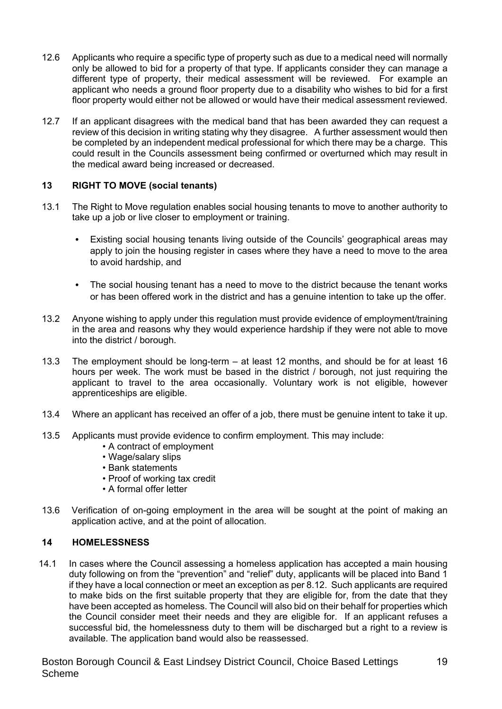- 12.6 Applicants who require a specific type of property such as due to a medical need will normally only be allowed to bid for a property of that type. If applicants consider they can manage a different type of property, their medical assessment will be reviewed. For example an applicant who needs a ground floor property due to a disability who wishes to bid for a first floor property would either not be allowed or would have their medical assessment reviewed.
- 12.7 If an applicant disagrees with the medical band that has been awarded they can request a review of this decision in writing stating why they disagree. A further assessment would then be completed by an independent medical professional for which there may be a charge. This could result in the Councils assessment being confirmed or overturned which may result in the medical award being increased or decreased.

#### **13 RIGHT TO MOVE (social tenants)**

- 13.1 The Right to Move regulation enables social housing tenants to move to another authority to take up a job or live closer to employment or training.
	- Existing social housing tenants living outside of the Councils' geographical areas may apply to join the housing register in cases where they have a need to move to the area to avoid hardship, and
	- The social housing tenant has a need to move to the district because the tenant works or has been offered work in the district and has a genuine intention to take up the offer.
- 13.2 Anyone wishing to apply under this regulation must provide evidence of employment/training in the area and reasons why they would experience hardship if they were not able to move into the district / borough.
- 13.3 The employment should be long-term at least 12 months, and should be for at least 16 hours per week. The work must be based in the district / borough, not just requiring the applicant to travel to the area occasionally. Voluntary work is not eligible, however apprenticeships are eligible.
- 13.4 Where an applicant has received an offer of a job, there must be genuine intent to take it up.
- 13.5 Applicants must provide evidence to confirm employment. This may include:
	- A contract of employment
	- Wage/salary slips
	- Bank statements
	- Proof of working tax credit
	- A formal offer letter
- 13.6 Verification of on-going employment in the area will be sought at the point of making an application active, and at the point of allocation.

#### **14 HOMELESSNESS**

14.1 In cases where the Council assessing a homeless application has accepted a main housing duty following on from the "prevention" and "relief" duty, applicants will be placed into Band 1 if they have a local connection or meet an exception as per 8.12. Such applicants are required to make bids on the first suitable property that they are eligible for, from the date that they have been accepted as homeless. The Council will also bid on their behalf for properties which the Council consider meet their needs and they are eligible for. If an applicant refuses a successful bid, the homelessness duty to them will be discharged but a right to a review is available. The application band would also be reassessed.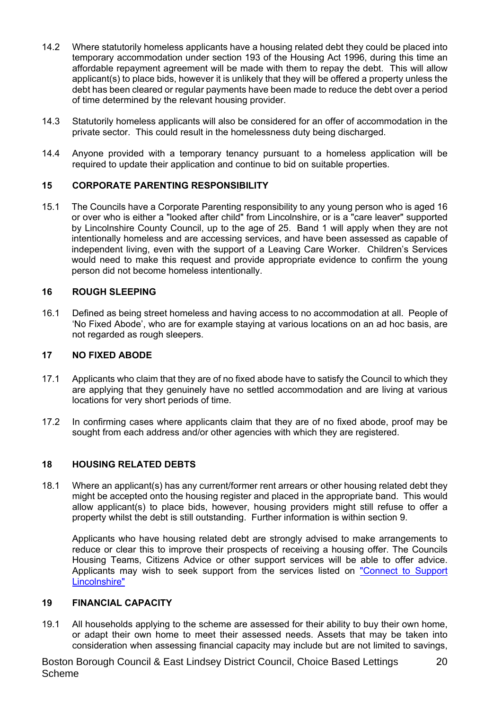- 14.2 Where statutorily homeless applicants have a housing related debt they could be placed into temporary accommodation under section 193 of the Housing Act 1996, during this time an affordable repayment agreement will be made with them to repay the debt. This will allow applicant(s) to place bids, however it is unlikely that they will be offered a property unless the debt has been cleared or regular payments have been made to reduce the debt over a period of time determined by the relevant housing provider.
- 14.3 Statutorily homeless applicants will also be considered for an offer of accommodation in the private sector. This could result in the homelessness duty being discharged.
- 14.4 Anyone provided with a temporary tenancy pursuant to a homeless application will be required to update their application and continue to bid on suitable properties.

#### **15 CORPORATE PARENTING RESPONSIBILITY**

15.1 The Councils have a Corporate Parenting responsibility to any young person who is aged 16 or over who is either a "looked after child" from Lincolnshire, or is a "care leaver" supported by Lincolnshire County Council, up to the age of 25. Band 1 will apply when they are not intentionally homeless and are accessing services, and have been assessed as capable of independent living, even with the support of a Leaving Care Worker. Children's Services would need to make this request and provide appropriate evidence to confirm the young person did not become homeless intentionally.

#### **16 ROUGH SLEEPING**

16.1 Defined as being street homeless and having access to no accommodation at all. People of 'No Fixed Abode', who are for example staying at various locations on an ad hoc basis, are not regarded as rough sleepers.

#### **17 NO FIXED ABODE**

- 17.1 Applicants who claim that they are of no fixed abode have to satisfy the Council to which they are applying that they genuinely have no settled accommodation and are living at various locations for very short periods of time.
- 17.2 In confirming cases where applicants claim that they are of no fixed abode, proof may be sought from each address and/or other agencies with which they are registered.

#### **18 HOUSING RELATED DEBTS**

18.1 Where an applicant(s) has any current/former rent arrears or other housing related debt they might be accepted onto the housing register and placed in the appropriate band. This would allow applicant(s) to place bids, however, housing providers might still refuse to offer a property whilst the debt is still outstanding. Further information is within section 9.

Applicants who have housing related debt are strongly advised to make arrangements to reduce or clear this to improve their prospects of receiving a housing offer. The Councils Housing Teams, Citizens Advice or other support services will be able to offer advice. Applicants may wish to seek support from the services listed on "Connect to Support Lincolnshire"

## **19 FINANCIAL CAPACITY**

19.1 All households applying to the scheme are assessed for their ability to buy their own home, or adapt their own home to meet their assessed needs. Assets that may be taken into consideration when assessing financial capacity may include but are not limited to savings,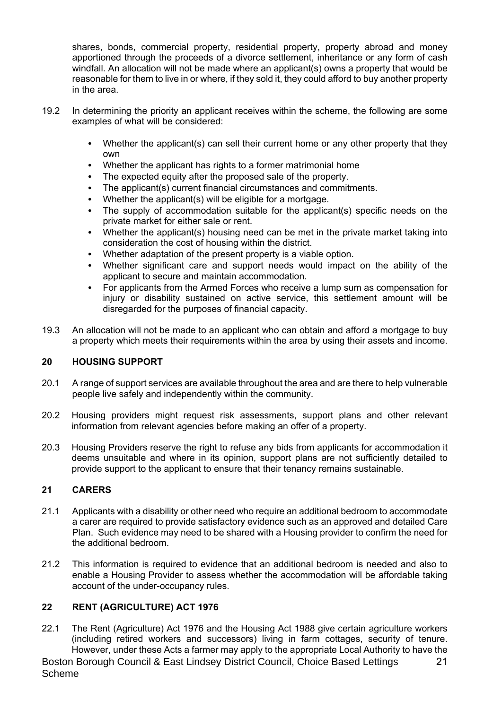shares, bonds, commercial property, residential property, property abroad and money apportioned through the proceeds of a divorce settlement, inheritance or any form of cash windfall. An allocation will not be made where an applicant(s) owns a property that would be reasonable for them to live in or where, if they sold it, they could afford to buy another property in the area.

- 19.2 In determining the priority an applicant receives within the scheme, the following are some examples of what will be considered:
	- Whether the applicant(s) can sell their current home or any other property that they own
	- Whether the applicant has rights to a former matrimonial home
	- The expected equity after the proposed sale of the property.
	- The applicant(s) current financial circumstances and commitments.
	- Whether the applicant(s) will be eligible for a mortgage.
	- The supply of accommodation suitable for the applicant(s) specific needs on the private market for either sale or rent.
	- Whether the applicant(s) housing need can be met in the private market taking into consideration the cost of housing within the district.
	- Whether adaptation of the present property is a viable option.
	- Whether significant care and support needs would impact on the ability of the applicant to secure and maintain accommodation.
	- For applicants from the Armed Forces who receive a lump sum as compensation for injury or disability sustained on active service, this settlement amount will be disregarded for the purposes of financial capacity.
- 19.3 An allocation will not be made to an applicant who can obtain and afford a mortgage to buy a property which meets their requirements within the area by using their assets and income.

#### **20 HOUSING SUPPORT**

- 20.1 A range of support services are available throughout the area and are there to help vulnerable people live safely and independently within the community.
- 20.2 Housing providers might request risk assessments, support plans and other relevant information from relevant agencies before making an offer of a property.
- 20.3 Housing Providers reserve the right to refuse any bids from applicants for accommodation it deems unsuitable and where in its opinion, support plans are not sufficiently detailed to provide support to the applicant to ensure that their tenancy remains sustainable.

#### **21 CARERS**

- 21.1 Applicants with a disability or other need who require an additional bedroom to accommodate a carer are required to provide satisfactory evidence such as an approved and detailed Care Plan. Such evidence may need to be shared with a Housing provider to confirm the need for the additional bedroom.
- 21.2 This information is required to evidence that an additional bedroom is needed and also to enable a Housing Provider to assess whether the accommodation will be affordable taking account of the under-occupancy rules.

## **22 RENT (AGRICULTURE) ACT 1976**

22.1 The Rent (Agriculture) Act 1976 and the Housing Act 1988 give certain agriculture workers (including retired workers and successors) living in farm cottages, security of tenure. However, under these Acts a farmer may apply to the appropriate Local Authority to have the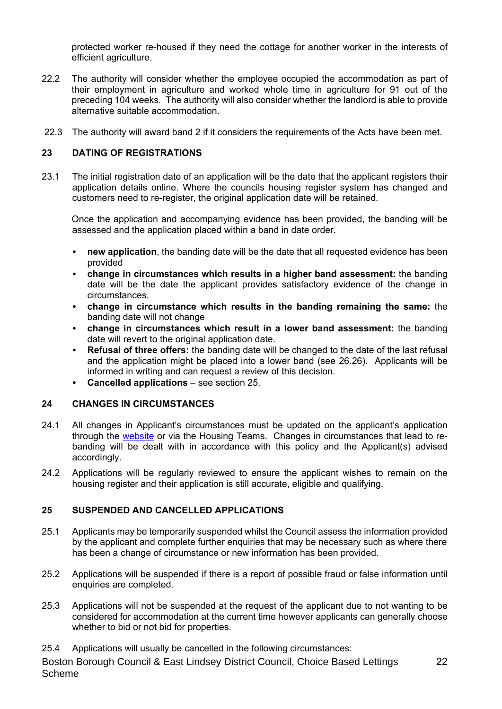protected worker re-housed if they need the cottage for another worker in the interests of efficient agriculture.

- 22.2 The authority will consider whether the employee occupied the accommodation as part of their employment in agriculture and worked whole time in agriculture for 91 out of the preceding 104 weeks. The authority will also consider whether the landlord is able to provide alternative suitable accommodation.
- 22.3 The authority will award band 2 if it considers the requirements of the Acts have been met.

#### **23 DATING OF REGISTRATIONS**

23.1 The initial registration date of an application will be the date that the applicant registers their application details online. Where the councils housing register system has changed and customers need to re-register, the original application date will be retained.

Once the application and accompanying evidence has been provided, the banding will be assessed and the application placed within a band in date order.

- **new application**, the banding date will be the date that all requested evidence has been provided
- **change in circumstances which results in a higher band assessment:** the banding date will be the date the applicant provides satisfactory evidence of the change in circumstances.
- **change in circumstance which results in the banding remaining the same:** the banding date will not change
- **change in circumstances which result in a lower band assessment:** the banding date will revert to the original application date.
- **Refusal of three offers:** the banding date will be changed to the date of the last refusal and the application might be placed into a lower band (see 26.26). Applicants will be informed in writing and can request a review of this decision.
- **Cancelled applications** see section 25.

#### **24 CHANGES IN CIRCUMSTANCES**

- 24.1 All changes in Applicant's circumstances must be updated on the applicant's application through the website or via the Housing Teams. Changes in circumstances that lead to rebanding will be dealt with in accordance with this policy and the Applicant(s) advised accordingly.
- 24.2 Applications will be regularly reviewed to ensure the applicant wishes to remain on the housing register and their application is still accurate, eligible and qualifying.

#### **25 SUSPENDED AND CANCELLED APPLICATIONS**

- 25.1 Applicants may be temporarily suspended whilst the Council assess the information provided by the applicant and complete further enquiries that may be necessary such as where there has been a change of circumstance or new information has been provided.
- 25.2 Applications will be suspended if there is a report of possible fraud or false information until enquiries are completed.
- 25.3 Applications will not be suspended at the request of the applicant due to not wanting to be considered for accommodation at the current time however applicants can generally choose whether to bid or not bid for properties.
- 25.4 Applications will usually be cancelled in the following circumstances: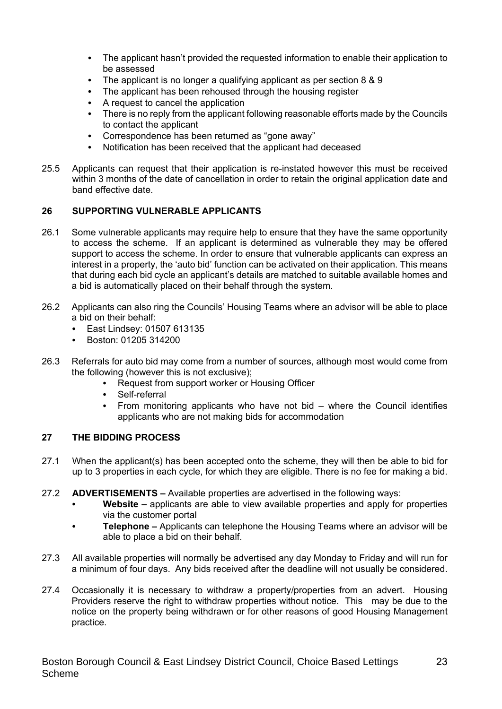- The applicant hasn't provided the requested information to enable their application to be assessed
- The applicant is no longer a qualifying applicant as per section 8 & 9
- The applicant has been rehoused through the housing register
- A request to cancel the application
- There is no reply from the applicant following reasonable efforts made by the Councils to contact the applicant
- Correspondence has been returned as "gone away"
- Notification has been received that the applicant had deceased
- 25.5 Applicants can request that their application is re-instated however this must be received within 3 months of the date of cancellation in order to retain the original application date and band effective date.

#### **26 SUPPORTING VULNERABLE APPLICANTS**

- 26.1 Some vulnerable applicants may require help to ensure that they have the same opportunity to access the scheme. If an applicant is determined as vulnerable they may be offered support to access the scheme. In order to ensure that vulnerable applicants can express an interest in a property, the 'auto bid' function can be activated on their application. This means that during each bid cycle an applicant's details are matched to suitable available homes and a bid is automatically placed on their behalf through the system.
- 26.2 Applicants can also ring the Councils' Housing Teams where an advisor will be able to place a bid on their behalf:
	- East Lindsey: 01507 613135
	- Boston: 01205 314200
- 26.3 Referrals for auto bid may come from a number of sources, although most would come from the following (however this is not exclusive);
	- Request from support worker or Housing Officer
	- Self-referral
	- From monitoring applicants who have not bid where the Council identifies applicants who are not making bids for accommodation

#### **27 THE BIDDING PROCESS**

- 27.1 When the applicant(s) has been accepted onto the scheme, they will then be able to bid for up to 3 properties in each cycle, for which they are eligible. There is no fee for making a bid.
- 27.2 **ADVERTISEMENTS –** Available properties are advertised in the following ways:
	- **Website –** applicants are able to view available properties and apply for properties via the customer portal
	- **Telephone –** Applicants can telephone the Housing Teams where an advisor will be able to place a bid on their behalf.
- 27.3 All available properties will normally be advertised any day Monday to Friday and will run for a minimum of four days. Any bids received after the deadline will not usually be considered.
- 27.4 Occasionally it is necessary to withdraw a property/properties from an advert. Housing Providers reserve the right to withdraw properties without notice. This may be due to the notice on the property being withdrawn or for other reasons of good Housing Management practice.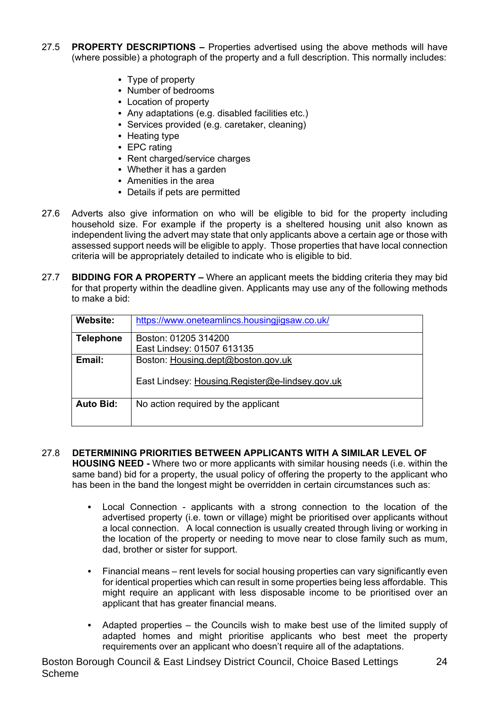- 27.5 **PROPERTY DESCRIPTIONS –** Properties advertised using the above methods will have (where possible) a photograph of the property and a full description. This normally includes:
	- Type of property
	- Number of bedrooms
	- Location of property
	- Any adaptations (e.g. disabled facilities etc.)
	- Services provided (e.g. caretaker, cleaning)
	- Heating type
	- EPC rating
	- Rent charged/service charges
	- Whether it has a garden
	- Amenities in the area
	- Details if pets are permitted
- 27.6 Adverts also give information on who will be eligible to bid for the property including household size. For example if the property is a sheltered housing unit also known as independent living the advert may state that only applicants above a certain age or those with assessed support needs will be eligible to apply. Those properties that have local connection criteria will be appropriately detailed to indicate who is eligible to bid.
- 27.7 **BIDDING FOR A PROPERTY –** Where an applicant meets the bidding criteria they may bid for that property within the deadline given. Applicants may use any of the following methods to make a bid:

| Website:         | https://www.oneteamlincs.housingjigsaw.co.uk/   |  |
|------------------|-------------------------------------------------|--|
| <b>Telephone</b> | Boston: 01205 314200                            |  |
|                  | East Lindsey: 01507 613135                      |  |
| Email:           | Boston: Housing.dept@boston.gov.uk              |  |
|                  | East Lindsey: Housing.Register@e-lindsey.gov.uk |  |
| <b>Auto Bid:</b> | No action required by the applicant             |  |
|                  |                                                 |  |

#### 27.8 **DETERMINING PRIORITIES BETWEEN APPLICANTS WITH A SIMILAR LEVEL OF**

**HOUSING NEED -** Where two or more applicants with similar housing needs (i.e. within the same band) bid for a property, the usual policy of offering the property to the applicant who has been in the band the longest might be overridden in certain circumstances such as:

- Local Connection applicants with a strong connection to the location of the advertised property (i.e. town or village) might be prioritised over applicants without a local connection. A local connection is usually created through living or working in the location of the property or needing to move near to close family such as mum, dad, brother or sister for support.
- Financial means rent levels for social housing properties can vary significantly even for identical properties which can result in some properties being less affordable. This might require an applicant with less disposable income to be prioritised over an applicant that has greater financial means.
- Adapted properties the Councils wish to make best use of the limited supply of adapted homes and might prioritise applicants who best meet the property requirements over an applicant who doesn't require all of the adaptations.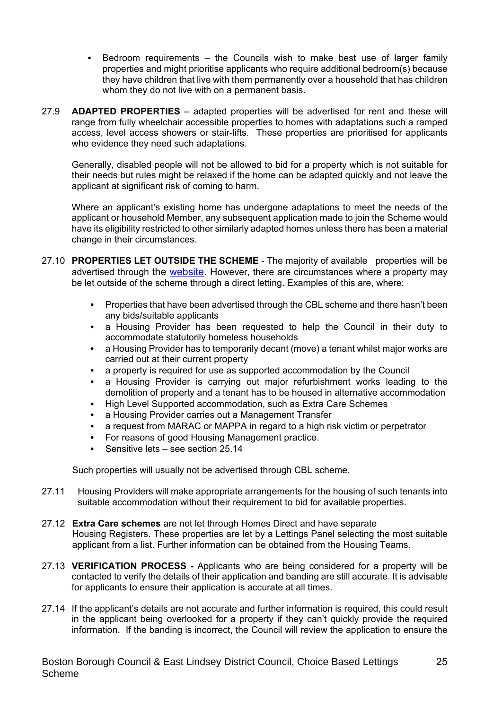- Bedroom requirements the Councils wish to make best use of larger family properties and might prioritise applicants who require additional bedroom(s) because they have children that live with them permanently over a household that has children whom they do not live with on a permanent basis.
- 27.9 **ADAPTED PROPERTIES** adapted properties will be advertised for rent and these will range from fully wheelchair accessible properties to homes with adaptations such a ramped access, level access showers or stair-lifts. These properties are prioritised for applicants who evidence they need such adaptations.

Generally, disabled people will not be allowed to bid for a property which is not suitable for their needs but rules might be relaxed if the home can be adapted quickly and not leave the applicant at significant risk of coming to harm.

Where an applicant's existing home has undergone adaptations to meet the needs of the applicant or household Member, any subsequent application made to join the Scheme would have its eligibility restricted to other similarly adapted homes unless there has been a material change in their circumstances.

- 27.10 **PROPERTIES LET OUTSIDE THE SCHEME** The majority of available properties will be advertised through the website. However, there are circumstances where a property may be let outside of the scheme through a direct letting. Examples of this are, where:
	- Properties that have been advertised through the CBL scheme and there hasn't been any bids/suitable applicants
	- a Housing Provider has been requested to help the Council in their duty to accommodate statutorily homeless households
	- a Housing Provider has to temporarily decant (move) a tenant whilst major works are carried out at their current property
	- a property is required for use as supported accommodation by the Council
	- a Housing Provider is carrying out major refurbishment works leading to the demolition of property and a tenant has to be housed in alternative accommodation
	- High Level Supported accommodation, such as Extra Care Schemes
	- a Housing Provider carries out a Management Transfer
	- a request from MARAC or MAPPA in regard to a high risk victim or perpetrator
	- For reasons of good Housing Management practice.
	- Sensitive lets see section 25.14

Such properties will usually not be advertised through CBL scheme.

- 27.11 Housing Providers will make appropriate arrangements for the housing of such tenants into suitable accommodation without their requirement to bid for available properties.
- 27.12 **Extra Care schemes** are not let through Homes Direct and have separate Housing Registers. These properties are let by a Lettings Panel selecting the most suitable applicant from a list. Further information can be obtained from the Housing Teams.
- 27.13 **VERIFICATION PROCESS -** Applicants who are being considered for a property will be contacted to verify the details of their application and banding are still accurate. It is advisable for applicants to ensure their application is accurate at all times.
- 27.14 If the applicant's details are not accurate and further information is required, this could result in the applicant being overlooked for a property if they can't quickly provide the required information. If the banding is incorrect, the Council will review the application to ensure the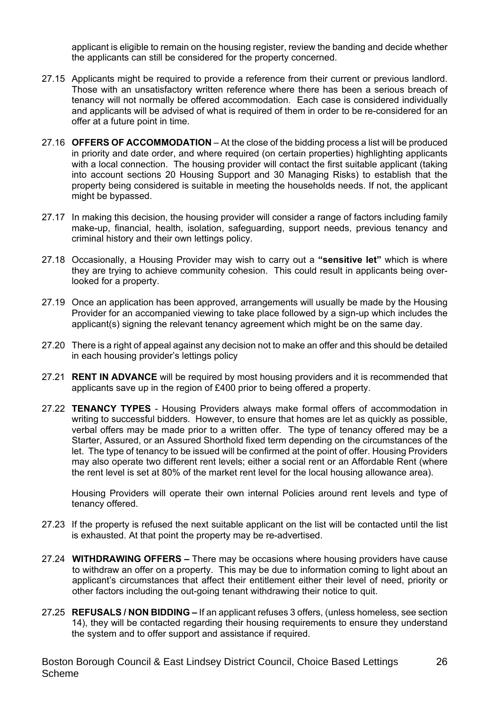applicant is eligible to remain on the housing register, review the banding and decide whether the applicants can still be considered for the property concerned.

- 27.15 Applicants might be required to provide a reference from their current or previous landlord. Those with an unsatisfactory written reference where there has been a serious breach of tenancy will not normally be offered accommodation. Each case is considered individually and applicants will be advised of what is required of them in order to be re-considered for an offer at a future point in time.
- 27.16 **OFFERS OF ACCOMMODATION** At the close of the bidding process a list will be produced in priority and date order, and where required (on certain properties) highlighting applicants with a local connection. The housing provider will contact the first suitable applicant (taking into account sections 20 Housing Support and 30 Managing Risks) to establish that the property being considered is suitable in meeting the households needs. If not, the applicant might be bypassed.
- 27.17 In making this decision, the housing provider will consider a range of factors including family make-up, financial, health, isolation, safeguarding, support needs, previous tenancy and criminal history and their own lettings policy.
- 27.18 Occasionally, a Housing Provider may wish to carry out a **"sensitive let"** which is where they are trying to achieve community cohesion. This could result in applicants being overlooked for a property.
- 27.19 Once an application has been approved, arrangements will usually be made by the Housing Provider for an accompanied viewing to take place followed by a sign-up which includes the applicant(s) signing the relevant tenancy agreement which might be on the same day.
- 27.20 There is a right of appeal against any decision not to make an offer and this should be detailed in each housing provider's lettings policy
- 27.21 **RENT IN ADVANCE** will be required by most housing providers and it is recommended that applicants save up in the region of £400 prior to being offered a property.
- 27.22 **TENANCY TYPES** Housing Providers always make formal offers of accommodation in writing to successful bidders. However, to ensure that homes are let as quickly as possible, verbal offers may be made prior to a written offer. The type of tenancy offered may be a Starter, Assured, or an Assured Shorthold fixed term depending on the circumstances of the let. The type of tenancy to be issued will be confirmed at the point of offer. Housing Providers may also operate two different rent levels; either a social rent or an Affordable Rent (where the rent level is set at 80% of the market rent level for the local housing allowance area).

Housing Providers will operate their own internal Policies around rent levels and type of tenancy offered.

- 27.23 If the property is refused the next suitable applicant on the list will be contacted until the list is exhausted. At that point the property may be re-advertised.
- 27.24 **WITHDRAWING OFFERS –** There may be occasions where housing providers have cause to withdraw an offer on a property. This may be due to information coming to light about an applicant's circumstances that affect their entitlement either their level of need, priority or other factors including the out-going tenant withdrawing their notice to quit.
- 27**.**25 **REFUSALS / NON BIDDING –** If an applicant refuses 3 offers, (unless homeless, see section 14), they will be contacted regarding their housing requirements to ensure they understand the system and to offer support and assistance if required.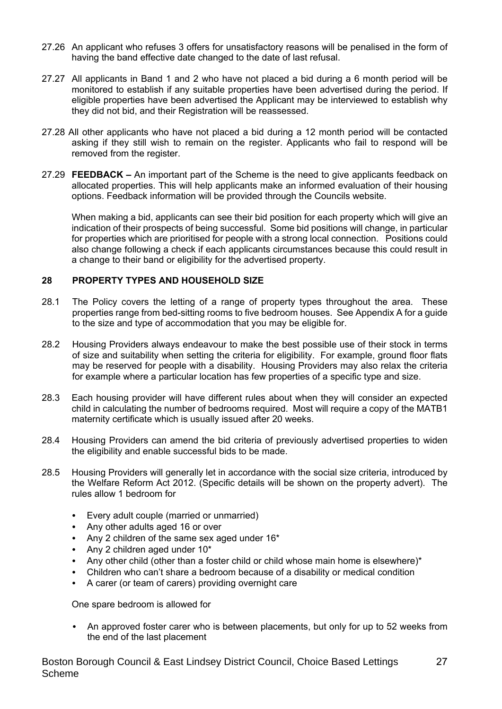- 27.26 An applicant who refuses 3 offers for unsatisfactory reasons will be penalised in the form of having the band effective date changed to the date of last refusal.
- 27.27 All applicants in Band 1 and 2 who have not placed a bid during a 6 month period will be monitored to establish if any suitable properties have been advertised during the period. If eligible properties have been advertised the Applicant may be interviewed to establish why they did not bid, and their Registration will be reassessed.
- 27.28 All other applicants who have not placed a bid during a 12 month period will be contacted asking if they still wish to remain on the register. Applicants who fail to respond will be removed from the register.
- 27.29 **FEEDBACK –** An important part of the Scheme is the need to give applicants feedback on allocated properties. This will help applicants make an informed evaluation of their housing options. Feedback information will be provided through the Councils website.

When making a bid, applicants can see their bid position for each property which will give an indication of their prospects of being successful. Some bid positions will change, in particular for properties which are prioritised for people with a strong local connection. Positions could also change following a check if each applicants circumstances because this could result in a change to their band or eligibility for the advertised property.

#### **28 PROPERTY TYPES AND HOUSEHOLD SIZE**

- 28.1 The Policy covers the letting of a range of property types throughout the area. These properties range from bed-sitting rooms to five bedroom houses. See Appendix A for a guide to the size and type of accommodation that you may be eligible for.
- 28.2 Housing Providers always endeavour to make the best possible use of their stock in terms of size and suitability when setting the criteria for eligibility. For example, ground floor flats may be reserved for people with a disability. Housing Providers may also relax the criteria for example where a particular location has few properties of a specific type and size.
- 28.3 Each housing provider will have different rules about when they will consider an expected child in calculating the number of bedrooms required. Most will require a copy of the MATB1 maternity certificate which is usually issued after 20 weeks.
- 28.4 Housing Providers can amend the bid criteria of previously advertised properties to widen the eligibility and enable successful bids to be made.
- 28.5 Housing Providers will generally let in accordance with the social size criteria, introduced by the Welfare Reform Act 2012. (Specific details will be shown on the property advert). The rules allow 1 bedroom for
	- Every adult couple (married or unmarried)
	- Any other adults aged 16 or over
	- Any 2 children of the same sex aged under 16\*
	- Any 2 children aged under 10\*
	- Any other child (other than a foster child or child whose main home is elsewhere)\*
	- Children who can't share a bedroom because of a disability or medical condition
	- A carer (or team of carers) providing overnight care

One spare bedroom is allowed for

 An approved foster carer who is between placements, but only for up to 52 weeks from the end of the last placement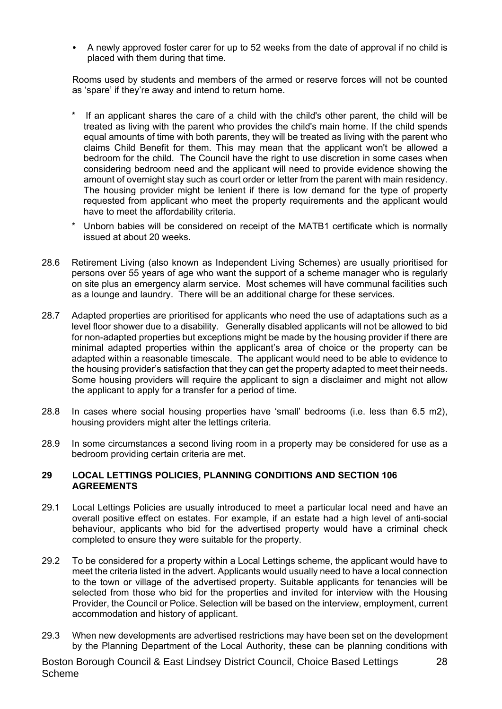A newly approved foster carer for up to 52 weeks from the date of approval if no child is placed with them during that time.

Rooms used by students and members of the armed or reserve forces will not be counted as 'spare' if they're away and intend to return home.

- If an applicant shares the care of a child with the child's other parent, the child will be treated as living with the parent who provides the child's main home. If the child spends equal amounts of time with both parents, they will be treated as living with the parent who claims Child Benefit for them. This may mean that the applicant won't be allowed a bedroom for the child. The Council have the right to use discretion in some cases when considering bedroom need and the applicant will need to provide evidence showing the amount of overnight stay such as court order or letter from the parent with main residency. The housing provider might be lenient if there is low demand for the type of property requested from applicant who meet the property requirements and the applicant would have to meet the affordability criteria.
- Unborn babies will be considered on receipt of the MATB1 certificate which is normally issued at about 20 weeks.
- 28.6 Retirement Living (also known as Independent Living Schemes) are usually prioritised for persons over 55 years of age who want the support of a scheme manager who is regularly on site plus an emergency alarm service. Most schemes will have communal facilities such as a lounge and laundry. There will be an additional charge for these services.
- 28.7 Adapted properties are prioritised for applicants who need the use of adaptations such as a level floor shower due to a disability. Generally disabled applicants will not be allowed to bid for non-adapted properties but exceptions might be made by the housing provider if there are minimal adapted properties within the applicant's area of choice or the property can be adapted within a reasonable timescale. The applicant would need to be able to evidence to the housing provider's satisfaction that they can get the property adapted to meet their needs. Some housing providers will require the applicant to sign a disclaimer and might not allow the applicant to apply for a transfer for a period of time.
- 28.8 In cases where social housing properties have 'small' bedrooms (i.e. less than 6.5 m2), housing providers might alter the lettings criteria.
- 28.9 In some circumstances a second living room in a property may be considered for use as a bedroom providing certain criteria are met.

#### **29 LOCAL LETTINGS POLICIES, PLANNING CONDITIONS AND SECTION 106 AGREEMENTS**

- 29.1 Local Lettings Policies are usually introduced to meet a particular local need and have an overall positive effect on estates. For example, if an estate had a high level of anti-social behaviour, applicants who bid for the advertised property would have a criminal check completed to ensure they were suitable for the property.
- 29.2 To be considered for a property within a Local Lettings scheme, the applicant would have to meet the criteria listed in the advert. Applicants would usually need to have a local connection to the town or village of the advertised property. Suitable applicants for tenancies will be selected from those who bid for the properties and invited for interview with the Housing Provider, the Council or Police. Selection will be based on the interview, employment, current accommodation and history of applicant.
- 29.3 When new developments are advertised restrictions may have been set on the development by the Planning Department of the Local Authority, these can be planning conditions with

28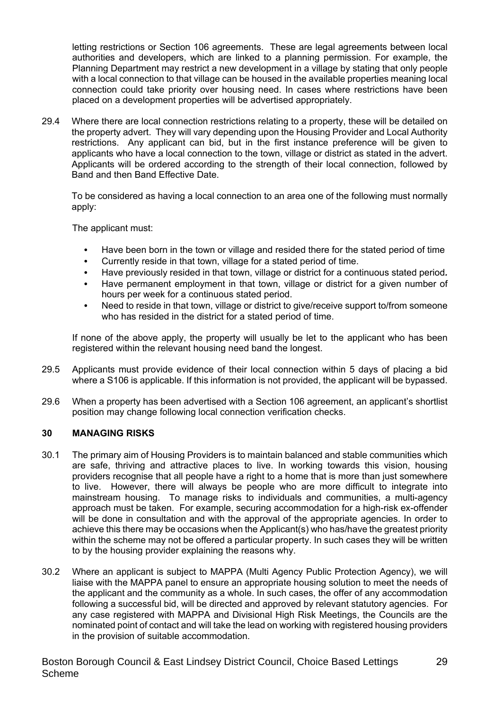letting restrictions or Section 106 agreements. These are legal agreements between local authorities and developers, which are linked to a planning permission. For example, the Planning Department may restrict a new development in a village by stating that only people with a local connection to that village can be housed in the available properties meaning local connection could take priority over housing need. In cases where restrictions have been placed on a development properties will be advertised appropriately.

29.4 Where there are local connection restrictions relating to a property, these will be detailed on the property advert. They will vary depending upon the Housing Provider and Local Authority restrictions. Any applicant can bid, but in the first instance preference will be given to applicants who have a local connection to the town, village or district as stated in the advert. Applicants will be ordered according to the strength of their local connection, followed by Band and then Band Effective Date.

To be considered as having a local connection to an area one of the following must normally apply:

The applicant must:

- Have been born in the town or village and resided there for the stated period of time
- Currently reside in that town, village for a stated period of time.
- Have previously resided in that town, village or district for a continuous stated period*.*
- Have permanent employment in that town, village or district for a given number of hours per week for a continuous stated period.
- Need to reside in that town, village or district to give/receive support to/from someone who has resided in the district for a stated period of time.

If none of the above apply, the property will usually be let to the applicant who has been registered within the relevant housing need band the longest.

- 29.5 Applicants must provide evidence of their local connection within 5 days of placing a bid where a S106 is applicable. If this information is not provided, the applicant will be bypassed.
- 29.6 When a property has been advertised with a Section 106 agreement, an applicant's shortlist position may change following local connection verification checks.

#### **30 MANAGING RISKS**

- 30.1 The primary aim of Housing Providers is to maintain balanced and stable communities which are safe, thriving and attractive places to live. In working towards this vision, housing providers recognise that all people have a right to a home that is more than just somewhere to live. However, there will always be people who are more difficult to integrate into mainstream housing. To manage risks to individuals and communities, a multi-agency approach must be taken. For example, securing accommodation for a high-risk ex-offender will be done in consultation and with the approval of the appropriate agencies. In order to achieve this there may be occasions when the Applicant(s) who has/have the greatest priority within the scheme may not be offered a particular property. In such cases they will be written to by the housing provider explaining the reasons why.
- 30.2 Where an applicant is subject to MAPPA (Multi Agency Public Protection Agency), we will liaise with the MAPPA panel to ensure an appropriate housing solution to meet the needs of the applicant and the community as a whole. In such cases, the offer of any accommodation following a successful bid, will be directed and approved by relevant statutory agencies. For any case registered with MAPPA and Divisional High Risk Meetings, the Councils are the nominated point of contact and will take the lead on working with registered housing providers in the provision of suitable accommodation.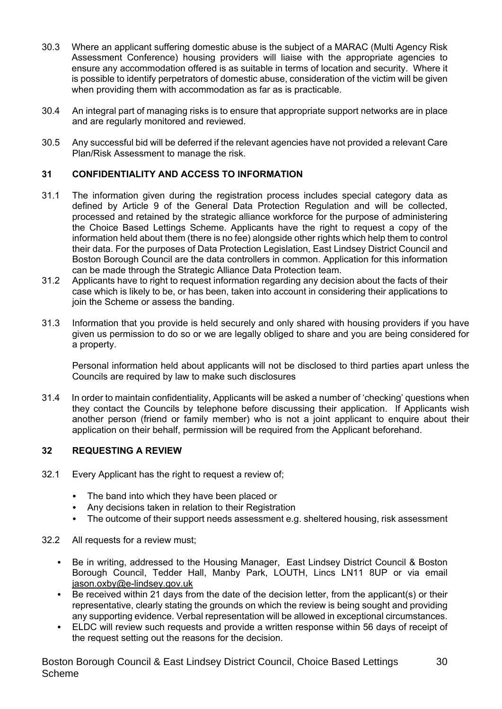- 30.3 Where an applicant suffering domestic abuse is the subject of a MARAC (Multi Agency Risk Assessment Conference) housing providers will liaise with the appropriate agencies to ensure any accommodation offered is as suitable in terms of location and security. Where it is possible to identify perpetrators of domestic abuse, consideration of the victim will be given when providing them with accommodation as far as is practicable.
- 30.4 An integral part of managing risks is to ensure that appropriate support networks are in place and are regularly monitored and reviewed.
- 30.5 Any successful bid will be deferred if the relevant agencies have not provided a relevant Care Plan/Risk Assessment to manage the risk.

### **31 CONFIDENTIALITY AND ACCESS TO INFORMATION**

- 31.1 The information given during the registration process includes special category data as defined by Article 9 of the General Data Protection Regulation and will be collected, processed and retained by the strategic alliance workforce for the purpose of administering the Choice Based Lettings Scheme. Applicants have the right to request a copy of the information held about them (there is no fee) alongside other rights which help them to control their data. For the purposes of Data Protection Legislation, East Lindsey District Council and Boston Borough Council are the data controllers in common. Application for this information can be made through the Strategic Alliance Data Protection team.
- 31.2 Applicants have to right to request information regarding any decision about the facts of their case which is likely to be, or has been, taken into account in considering their applications to join the Scheme or assess the banding.
- 31.3 Information that you provide is held securely and only shared with housing providers if you have given us permission to do so or we are legally obliged to share and you are being considered for a property.

Personal information held about applicants will not be disclosed to third parties apart unless the Councils are required by law to make such disclosures

31.4 In order to maintain confidentiality, Applicants will be asked a number of 'checking' questions when they contact the Councils by telephone before discussing their application. If Applicants wish another person (friend or family member) who is not a joint applicant to enquire about their application on their behalf, permission will be required from the Applicant beforehand.

#### **32 REQUESTING A REVIEW**

- 32.1 Every Applicant has the right to request a review of;
	- The band into which they have been placed or
	- Any decisions taken in relation to their Registration
	- The outcome of their support needs assessment e.g. sheltered housing, risk assessment
- 32.2 All requests for a review must;
	- Be in writing, addressed to the Housing Manager, East Lindsey District Council & Boston Borough Council, Tedder Hall, Manby Park, LOUTH, Lincs LN11 8UP or via email jason.oxby@e-lindsey.gov.uk
	- Be received within 21 days from the date of the decision letter, from the applicant(s) or their representative, clearly stating the grounds on which the review is being sought and providing any supporting evidence. Verbal representation will be allowed in exceptional circumstances.
	- ELDC will review such requests and provide a written response within 56 days of receipt of the request setting out the reasons for the decision.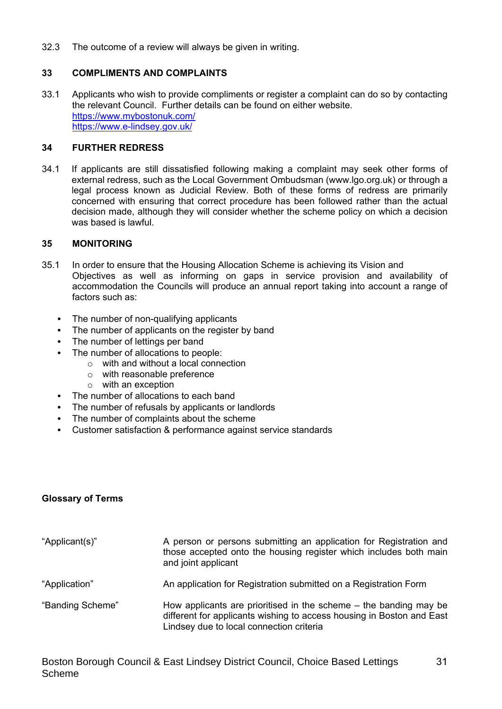32.3 The outcome of a review will always be given in writing.

### **33 COMPLIMENTS AND COMPLAINTS**

33.1 Applicants who wish to provide compliments or register a complaint can do so by contacting the relevant Council. Further details can be found on either website. https://www.mybostonuk.com/ https://www.e-lindsey.gov.uk/

#### **34 FURTHER REDRESS**

34.1 If applicants are still dissatisfied following making a complaint may seek other forms of external redress, such as the Local Government Ombudsman (www.lgo.org.uk) or through a legal process known as Judicial Review. Both of these forms of redress are primarily concerned with ensuring that correct procedure has been followed rather than the actual decision made, although they will consider whether the scheme policy on which a decision was based is lawful.

#### **35 MONITORING**

- 35.1 In order to ensure that the Housing Allocation Scheme is achieving its Vision and Objectives as well as informing on gaps in service provision and availability of accommodation the Councils will produce an annual report taking into account a range of factors such as:
	- The number of non-qualifying applicants
	- The number of applicants on the register by band
	- The number of lettings per band
	- The number of allocations to people:
		- o with and without a local connection
		- o with reasonable preference
		- o with an exception
	- The number of allocations to each band
	- The number of refusals by applicants or landlords
	- The number of complaints about the scheme
	- Customer satisfaction & performance against service standards

#### **Glossary of Terms**

| "Applicant(s)"   | A person or persons submitting an application for Registration and<br>those accepted onto the housing register which includes both main<br>and joint applicant                           |
|------------------|------------------------------------------------------------------------------------------------------------------------------------------------------------------------------------------|
| "Application"    | An application for Registration submitted on a Registration Form                                                                                                                         |
| "Banding Scheme" | How applicants are prioritised in the scheme $-$ the banding may be<br>different for applicants wishing to access housing in Boston and East<br>Lindsey due to local connection criteria |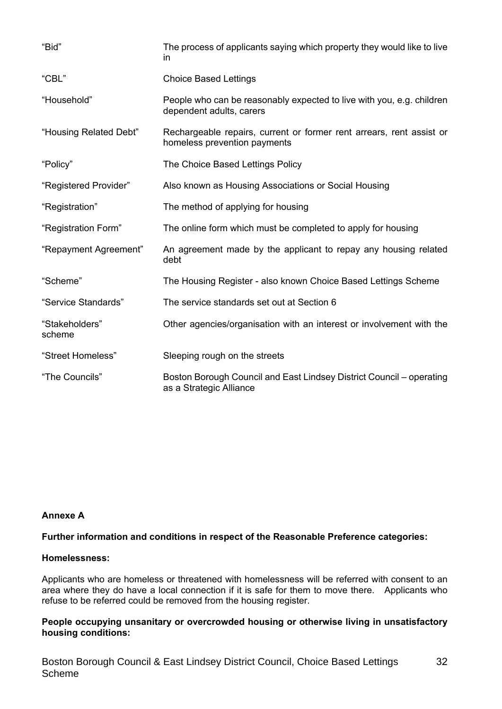| "Bid"                    | The process of applicants saying which property they would like to live<br>in.                       |
|--------------------------|------------------------------------------------------------------------------------------------------|
| "CBL"                    | <b>Choice Based Lettings</b>                                                                         |
| "Household"              | People who can be reasonably expected to live with you, e.g. children<br>dependent adults, carers    |
| "Housing Related Debt"   | Rechargeable repairs, current or former rent arrears, rent assist or<br>homeless prevention payments |
| "Policy"                 | The Choice Based Lettings Policy                                                                     |
| "Registered Provider"    | Also known as Housing Associations or Social Housing                                                 |
| "Registration"           | The method of applying for housing                                                                   |
| "Registration Form"      | The online form which must be completed to apply for housing                                         |
| "Repayment Agreement"    | An agreement made by the applicant to repay any housing related<br>debt                              |
| "Scheme"                 | The Housing Register - also known Choice Based Lettings Scheme                                       |
| "Service Standards"      | The service standards set out at Section 6                                                           |
| "Stakeholders"<br>scheme | Other agencies/organisation with an interest or involvement with the                                 |
| "Street Homeless"        | Sleeping rough on the streets                                                                        |
| "The Councils"           | Boston Borough Council and East Lindsey District Council – operating<br>as a Strategic Alliance      |

#### **Annexe A**

#### **Further information and conditions in respect of the Reasonable Preference categories:**

#### **Homelessness:**

Applicants who are homeless or threatened with homelessness will be referred with consent to an area where they do have a local connection if it is safe for them to move there. Applicants who refuse to be referred could be removed from the housing register.

#### **People occupying unsanitary or overcrowded housing or otherwise living in unsatisfactory housing conditions:**

32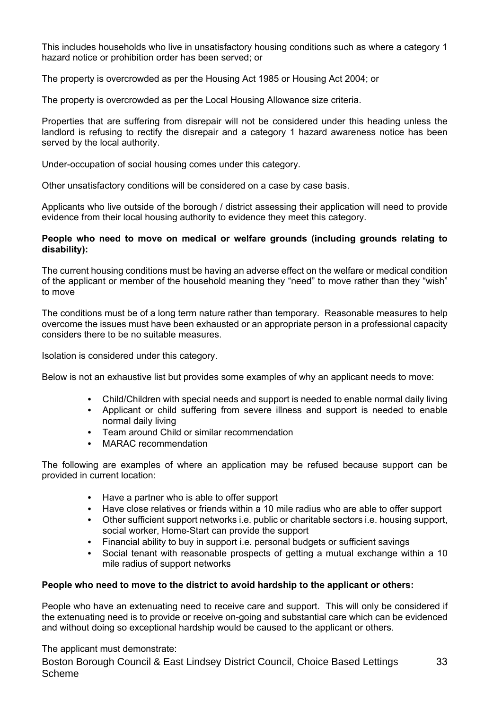This includes households who live in unsatisfactory housing conditions such as where a category 1 hazard notice or prohibition order has been served; or

The property is overcrowded as per the Housing Act 1985 or Housing Act 2004; or

The property is overcrowded as per the Local Housing Allowance size criteria.

Properties that are suffering from disrepair will not be considered under this heading unless the landlord is refusing to rectify the disrepair and a category 1 hazard awareness notice has been served by the local authority.

Under-occupation of social housing comes under this category.

Other unsatisfactory conditions will be considered on a case by case basis.

Applicants who live outside of the borough / district assessing their application will need to provide evidence from their local housing authority to evidence they meet this category.

#### **People who need to move on medical or welfare grounds (including grounds relating to disability):**

The current housing conditions must be having an adverse effect on the welfare or medical condition of the applicant or member of the household meaning they "need" to move rather than they "wish" to move

The conditions must be of a long term nature rather than temporary. Reasonable measures to help overcome the issues must have been exhausted or an appropriate person in a professional capacity considers there to be no suitable measures.

Isolation is considered under this category.

Below is not an exhaustive list but provides some examples of why an applicant needs to move:

- Child/Children with special needs and support is needed to enable normal daily living
- Applicant or child suffering from severe illness and support is needed to enable normal daily living
- Team around Child or similar recommendation
- MARAC recommendation

The following are examples of where an application may be refused because support can be provided in current location:

- Have a partner who is able to offer support
- Have close relatives or friends within a 10 mile radius who are able to offer support
- Other sufficient support networks i.e. public or charitable sectors i.e. housing support, social worker, Home-Start can provide the support
- Financial ability to buy in support i.e. personal budgets or sufficient savings
- Social tenant with reasonable prospects of getting a mutual exchange within a 10 mile radius of support networks

#### **People who need to move to the district to avoid hardship to the applicant or others:**

People who have an extenuating need to receive care and support. This will only be considered if the extenuating need is to provide or receive on-going and substantial care which can be evidenced and without doing so exceptional hardship would be caused to the applicant or others.

Boston Borough Council & East Lindsey District Council, Choice Based Lettings Scheme 33 The applicant must demonstrate: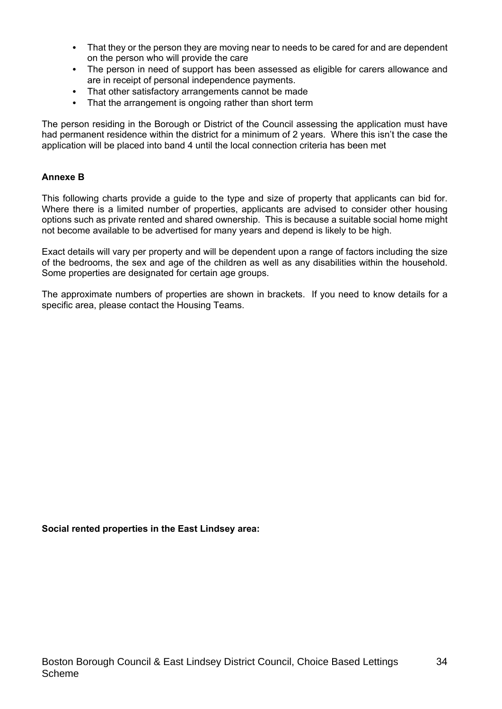- That they or the person they are moving near to needs to be cared for and are dependent on the person who will provide the care
- The person in need of support has been assessed as eligible for carers allowance and are in receipt of personal independence payments.
- That other satisfactory arrangements cannot be made
- That the arrangement is ongoing rather than short term

The person residing in the Borough or District of the Council assessing the application must have had permanent residence within the district for a minimum of 2 years. Where this isn't the case the application will be placed into band 4 until the local connection criteria has been met

#### **Annexe B**

This following charts provide a guide to the type and size of property that applicants can bid for. Where there is a limited number of properties, applicants are advised to consider other housing options such as private rented and shared ownership. This is because a suitable social home might not become available to be advertised for many years and depend is likely to be high.

Exact details will vary per property and will be dependent upon a range of factors including the size of the bedrooms, the sex and age of the children as well as any disabilities within the household. Some properties are designated for certain age groups.

The approximate numbers of properties are shown in brackets. If you need to know details for a specific area, please contact the Housing Teams.

#### **Social rented properties in the East Lindsey area:**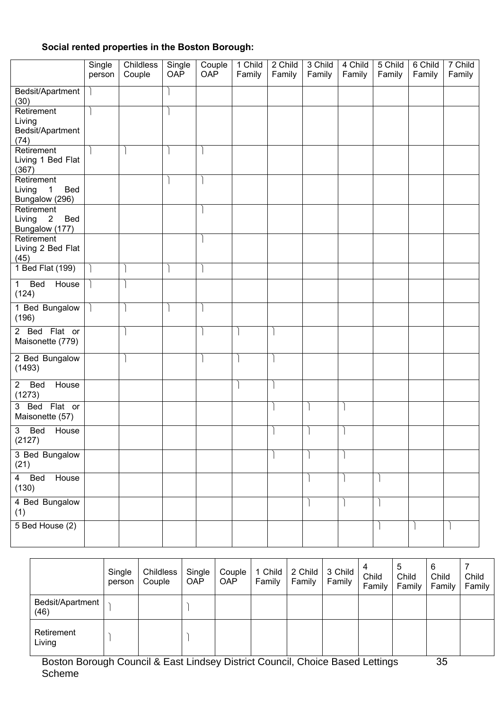## **Social rented properties in the Boston Borough:**

|                                                                           | Single<br>person | Childless<br>Couple | Single<br>OAP | Couple<br>OAP | 1 Child<br>Family | 2 Child<br>Family | 3 Child<br>Family | 4 Child<br>Family | 5 Child<br>Family | 6 Child<br>Family | 7 Child<br>Family |
|---------------------------------------------------------------------------|------------------|---------------------|---------------|---------------|-------------------|-------------------|-------------------|-------------------|-------------------|-------------------|-------------------|
| Bedsit/Apartment<br>(30)                                                  |                  |                     |               |               |                   |                   |                   |                   |                   |                   |                   |
| Retirement<br>Living<br>Bedsit/Apartment<br>(74)                          |                  |                     |               |               |                   |                   |                   |                   |                   |                   |                   |
| Retirement<br>Living 1 Bed Flat<br>(367)                                  |                  |                     |               |               |                   |                   |                   |                   |                   |                   |                   |
| Retirement<br>$\overline{\phantom{1}}$<br>Bed<br>Living<br>Bungalow (296) |                  |                     |               |               |                   |                   |                   |                   |                   |                   |                   |
| Retirement<br>Bed<br>Living 2<br>Bungalow (177)                           |                  |                     |               |               |                   |                   |                   |                   |                   |                   |                   |
| Retirement<br>Living 2 Bed Flat<br>(45)                                   |                  |                     |               |               |                   |                   |                   |                   |                   |                   |                   |
| 1 Bed Flat (199)                                                          |                  |                     |               |               |                   |                   |                   |                   |                   |                   |                   |
| Bed<br>$\mathbf{1}$<br>House<br>(124)                                     |                  |                     |               |               |                   |                   |                   |                   |                   |                   |                   |
| 1 Bed Bungalow<br>(196)                                                   |                  |                     |               |               |                   |                   |                   |                   |                   |                   |                   |
| 2 Bed Flat or<br>Maisonette (779)                                         |                  |                     |               |               |                   |                   |                   |                   |                   |                   |                   |
| 2 Bed Bungalow<br>(1493)                                                  |                  |                     |               |               |                   |                   |                   |                   |                   |                   |                   |
| House<br>$\overline{2}$<br>Bed<br>(1273)                                  |                  |                     |               |               |                   |                   |                   |                   |                   |                   |                   |
| 3 Bed Flat or<br>Maisonette (57)                                          |                  |                     |               |               |                   |                   |                   |                   |                   |                   |                   |
| 3<br><b>Bed</b><br>House<br>(2127)                                        |                  |                     |               |               |                   |                   |                   |                   |                   |                   |                   |
| 3 Bed Bungalow<br>(21)                                                    |                  |                     |               |               |                   |                   |                   |                   |                   |                   |                   |
| 4 Bed<br>House<br>(130)                                                   |                  |                     |               |               |                   |                   |                   |                   |                   |                   |                   |
| 4 Bed Bungalow<br>(1)                                                     |                  |                     |               |               |                   |                   |                   |                   |                   |                   |                   |
| 5 Bed House (2)                                                           |                  |                     |               |               |                   |                   |                   |                   |                   |                   |                   |

|                          | Single<br>person | Childless<br>Couple | Single<br><b>OAP</b> | Couple<br><b>OAP</b> | 1 Child<br>Family | 2 Child<br>Family | 3 Child<br>Family | Child<br>Family | 5<br>Child<br>Family | 6<br>Child<br>Family | Child<br>Family |
|--------------------------|------------------|---------------------|----------------------|----------------------|-------------------|-------------------|-------------------|-----------------|----------------------|----------------------|-----------------|
| Bedsit/Apartment<br>(46) |                  |                     |                      |                      |                   |                   |                   |                 |                      |                      |                 |
| Retirement<br>Living     |                  |                     |                      |                      |                   |                   |                   |                 |                      |                      |                 |